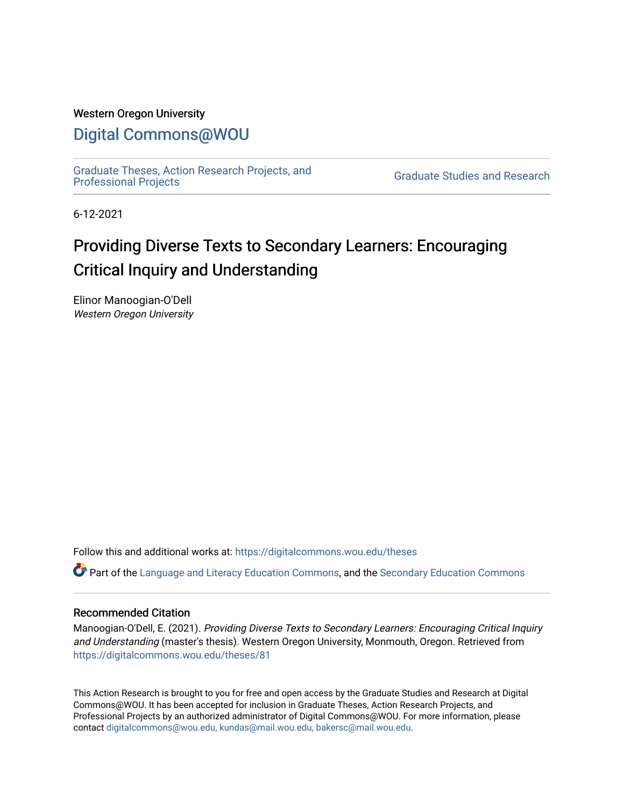#### Western Oregon University

### [Digital Commons@WOU](https://digitalcommons.wou.edu/)

[Graduate Theses, Action Research Projects, and](https://digitalcommons.wou.edu/theses) 

**Graduate Studies and Research** 

6-12-2021

# Providing Diverse Texts to Secondary Learners: Encouraging Critical Inquiry and Understanding

Elinor Manoogian-O'Dell Western Oregon University

Follow this and additional works at: [https://digitalcommons.wou.edu/theses](https://digitalcommons.wou.edu/theses?utm_source=digitalcommons.wou.edu%2Ftheses%2F81&utm_medium=PDF&utm_campaign=PDFCoverPages) 

Part of the [Language and Literacy Education Commons,](https://network.bepress.com/hgg/discipline/1380?utm_source=digitalcommons.wou.edu%2Ftheses%2F81&utm_medium=PDF&utm_campaign=PDFCoverPages) and the [Secondary Education Commons](https://network.bepress.com/hgg/discipline/1382?utm_source=digitalcommons.wou.edu%2Ftheses%2F81&utm_medium=PDF&utm_campaign=PDFCoverPages)

#### Recommended Citation

Manoogian-O'Dell, E. (2021). Providing Diverse Texts to Secondary Learners: Encouraging Critical Inquiry and Understanding (master's thesis). Western Oregon University, Monmouth, Oregon. Retrieved from [https://digitalcommons.wou.edu/theses/81](https://digitalcommons.wou.edu/theses/81?utm_source=digitalcommons.wou.edu%2Ftheses%2F81&utm_medium=PDF&utm_campaign=PDFCoverPages) 

This Action Research is brought to you for free and open access by the Graduate Studies and Research at Digital Commons@WOU. It has been accepted for inclusion in Graduate Theses, Action Research Projects, and Professional Projects by an authorized administrator of Digital Commons@WOU. For more information, please contact [digitalcommons@wou.edu, kundas@mail.wou.edu, bakersc@mail.wou.edu](mailto:digitalcommons@wou.edu,%20kundas@mail.wou.edu,%20bakersc@mail.wou.edu).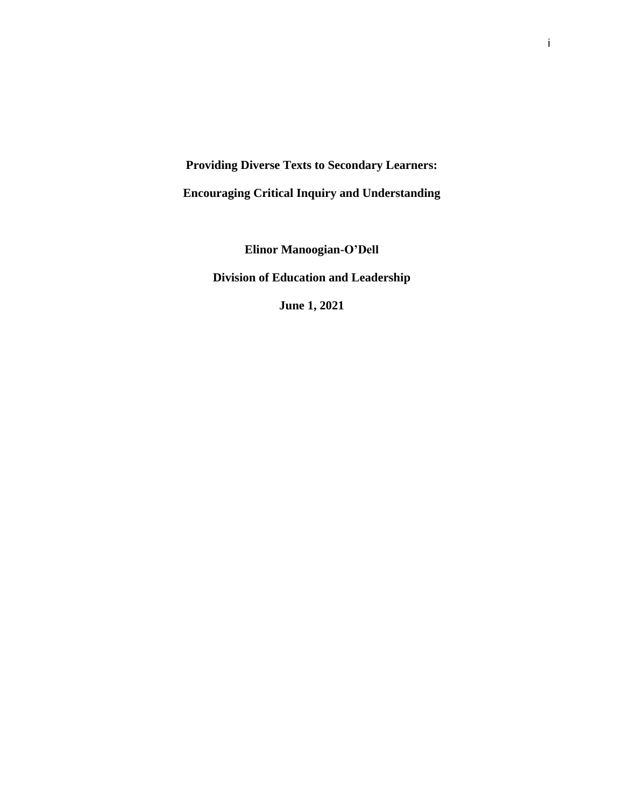**Providing Diverse Texts to Secondary Learners:** 

**Encouraging Critical Inquiry and Understanding**

**Elinor Manoogian-O'Dell Division of Education and Leadership**

**June 1, 2021**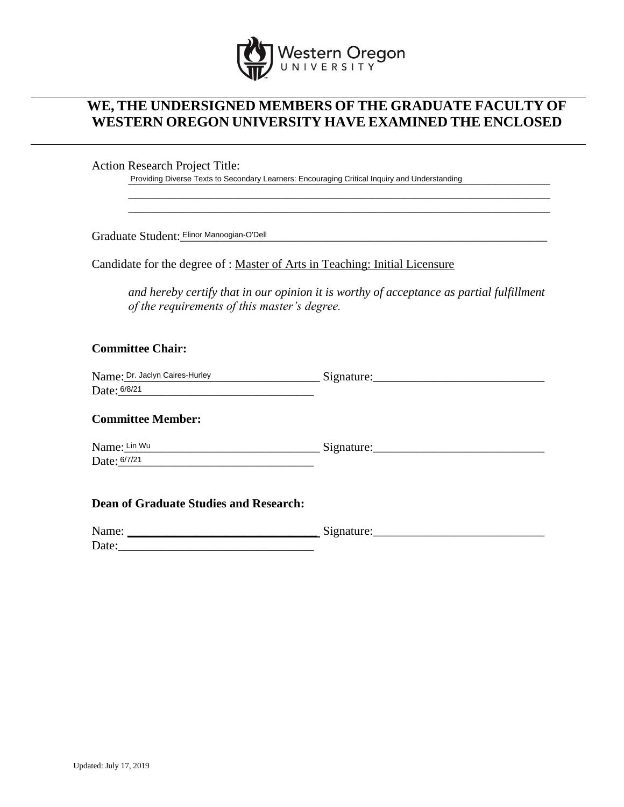

### **WE, THE UNDERSIGNED MEMBERS OF THE GRADUATE FACULTY OF WESTERN OREGON UNIVERSITY HAVE EXAMINED THE ENCLOSED**

Action Research Project Title:

Providing Diverse Texts to Secondary Learners: Encouraging Critical Inquiry and Understanding

Graduate Student: Elinor Manoogian-O'Dell **with the contract of the contract of the contract of the contract of t** 

Candidate for the degree of : Master of Arts in Teaching: Initial Licensure

*and hereby certify that in our opinion it is worthy of acceptance as partial fulfillment of the requirements of this master's degree.*

\_\_\_\_\_\_\_\_\_\_\_\_\_\_\_\_\_\_\_\_\_\_\_\_\_\_\_\_\_\_\_\_\_\_\_\_\_\_\_\_\_\_\_\_\_\_\_\_\_\_\_\_\_\_\_\_\_\_\_\_\_\_\_\_\_\_\_\_\_ \_\_\_\_\_\_\_\_\_\_\_\_\_\_\_\_\_\_\_\_\_\_\_\_\_\_\_\_\_\_\_\_\_\_\_\_\_\_\_\_\_\_\_\_\_\_\_\_\_\_\_\_\_\_\_\_\_\_\_\_\_\_\_\_\_\_\_\_\_

#### **Committee Chair:**

| Name: Dr. Jaclyn Caires-Hurley | Signature: |
|--------------------------------|------------|
| Date: 6/8/21                   |            |

#### **Committee Member:**

Name:\_\_\_\_\_\_\_\_\_\_\_\_\_\_\_\_\_\_\_\_\_\_\_\_\_\_\_\_\_\_\_\_ Signature:\_\_\_\_\_\_\_\_\_\_\_\_\_\_\_\_\_\_\_\_\_\_\_\_\_\_\_\_ Date: 6/7/21 Name: Lin Wu

#### **Dean of Graduate Studies and Research:**

| Name: | $\tilde{\phantom{a}}$<br>$\sim$ |
|-------|---------------------------------|
| Date: |                                 |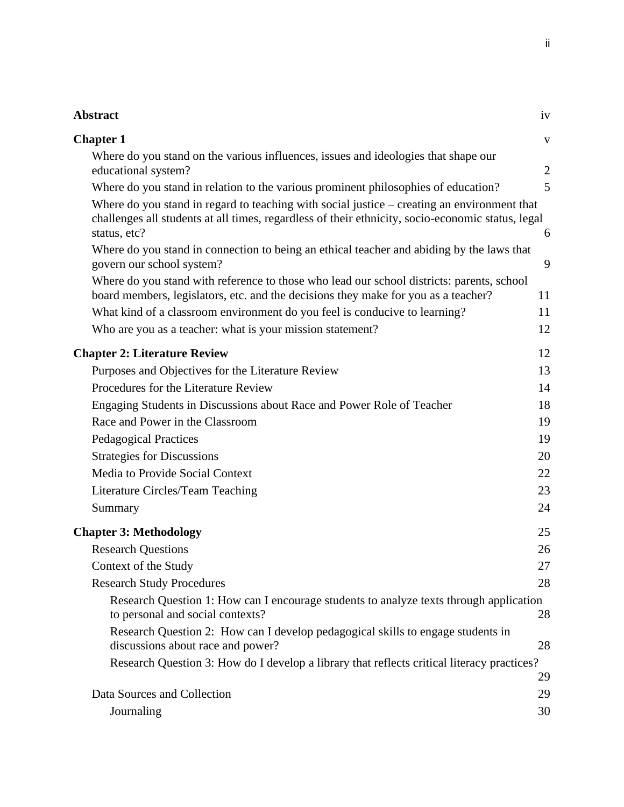# **[Abstract](#page-5-0)** iv

| <b>Chapter 1</b>                                                                                                                                                                                                 | $\mathbf V$    |
|------------------------------------------------------------------------------------------------------------------------------------------------------------------------------------------------------------------|----------------|
| Where do you stand on the various influences, issues and ideologies that shape our<br>educational system?                                                                                                        | $\overline{2}$ |
| Where do you stand in relation to the various prominent philosophies of education?                                                                                                                               | 5              |
| Where do you stand in regard to teaching with social justice – creating an environment that<br>challenges all students at all times, regardless of their ethnicity, socio-economic status, legal<br>status, etc? | 6              |
| Where do you stand in connection to being an ethical teacher and abiding by the laws that<br>govern our school system?                                                                                           | 9              |
| Where do you stand with reference to those who lead our school districts: parents, school<br>board members, legislators, etc. and the decisions they make for you as a teacher?                                  | 11             |
| What kind of a classroom environment do you feel is conducive to learning?                                                                                                                                       | 11             |
| Who are you as a teacher: what is your mission statement?                                                                                                                                                        | 12             |
| <b>Chapter 2: Literature Review</b>                                                                                                                                                                              | 12             |
| Purposes and Objectives for the Literature Review                                                                                                                                                                | 13             |
| Procedures for the Literature Review                                                                                                                                                                             | 14             |
| Engaging Students in Discussions about Race and Power Role of Teacher                                                                                                                                            | 18             |
| Race and Power in the Classroom                                                                                                                                                                                  | 19             |
| <b>Pedagogical Practices</b>                                                                                                                                                                                     | 19             |
| <b>Strategies for Discussions</b>                                                                                                                                                                                | 20             |
| Media to Provide Social Context                                                                                                                                                                                  | 22             |
| Literature Circles/Team Teaching                                                                                                                                                                                 | 23             |
| Summary                                                                                                                                                                                                          | 24             |
| <b>Chapter 3: Methodology</b>                                                                                                                                                                                    | 25             |
| <b>Research Questions</b>                                                                                                                                                                                        | 26             |
| Context of the Study                                                                                                                                                                                             | 27             |
| <b>Research Study Procedures</b>                                                                                                                                                                                 | 28             |
| Research Question 1: How can I encourage students to analyze texts through application<br>to personal and social contexts?                                                                                       | 28             |
| Research Question 2: How can I develop pedagogical skills to engage students in<br>discussions about race and power?                                                                                             | 28             |
| Research Question 3: How do I develop a library that reflects critical literacy practices?                                                                                                                       | 29             |
| Data Sources and Collection                                                                                                                                                                                      | 29             |
| Journaling                                                                                                                                                                                                       | 30             |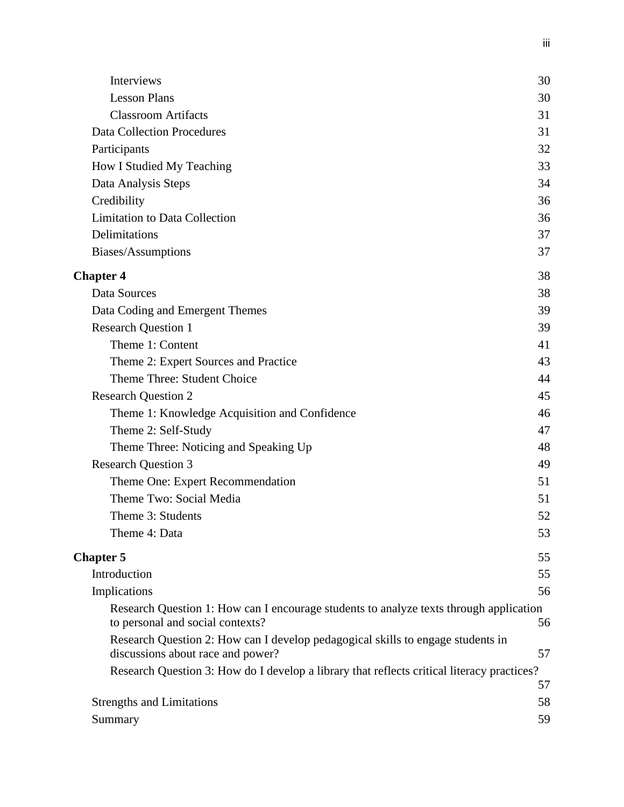| Interviews                                                                                                           | 30 |
|----------------------------------------------------------------------------------------------------------------------|----|
| <b>Lesson Plans</b>                                                                                                  | 30 |
| <b>Classroom Artifacts</b>                                                                                           | 31 |
| <b>Data Collection Procedures</b>                                                                                    | 31 |
| Participants                                                                                                         | 32 |
| How I Studied My Teaching                                                                                            | 33 |
| Data Analysis Steps                                                                                                  | 34 |
| Credibility                                                                                                          | 36 |
| <b>Limitation to Data Collection</b>                                                                                 | 36 |
| Delimitations                                                                                                        | 37 |
| Biases/Assumptions                                                                                                   | 37 |
| <b>Chapter 4</b>                                                                                                     | 38 |
| Data Sources                                                                                                         | 38 |
| Data Coding and Emergent Themes                                                                                      | 39 |
| <b>Research Question 1</b>                                                                                           | 39 |
| Theme 1: Content                                                                                                     | 41 |
| Theme 2: Expert Sources and Practice                                                                                 | 43 |
| Theme Three: Student Choice                                                                                          | 44 |
| <b>Research Question 2</b>                                                                                           | 45 |
| Theme 1: Knowledge Acquisition and Confidence                                                                        | 46 |
| Theme 2: Self-Study                                                                                                  | 47 |
| Theme Three: Noticing and Speaking Up                                                                                | 48 |
| <b>Research Question 3</b>                                                                                           | 49 |
| Theme One: Expert Recommendation                                                                                     | 51 |
| Theme Two: Social Media                                                                                              | 51 |
| Theme 3: Students                                                                                                    | 52 |
| Theme 4: Data                                                                                                        | 53 |
| <b>Chapter 5</b>                                                                                                     | 55 |
| Introduction                                                                                                         | 55 |
| Implications                                                                                                         | 56 |
| Research Question 1: How can I encourage students to analyze texts through application                               |    |
| to personal and social contexts?                                                                                     | 56 |
| Research Question 2: How can I develop pedagogical skills to engage students in<br>discussions about race and power? | 57 |
| Research Question 3: How do I develop a library that reflects critical literacy practices?                           |    |
|                                                                                                                      | 57 |
| <b>Strengths and Limitations</b>                                                                                     | 58 |
| Summary                                                                                                              | 59 |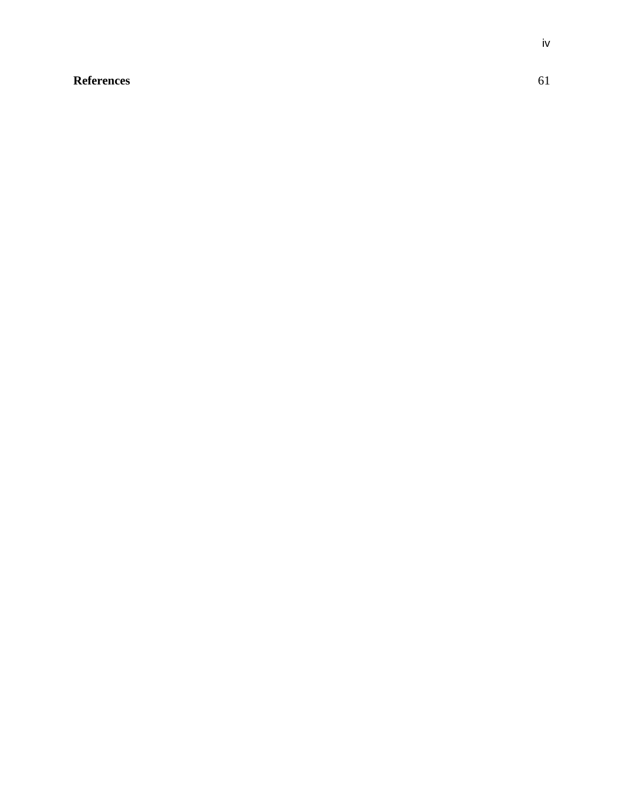### <span id="page-5-0"></span>**[References](#page-67-0)** 61

iv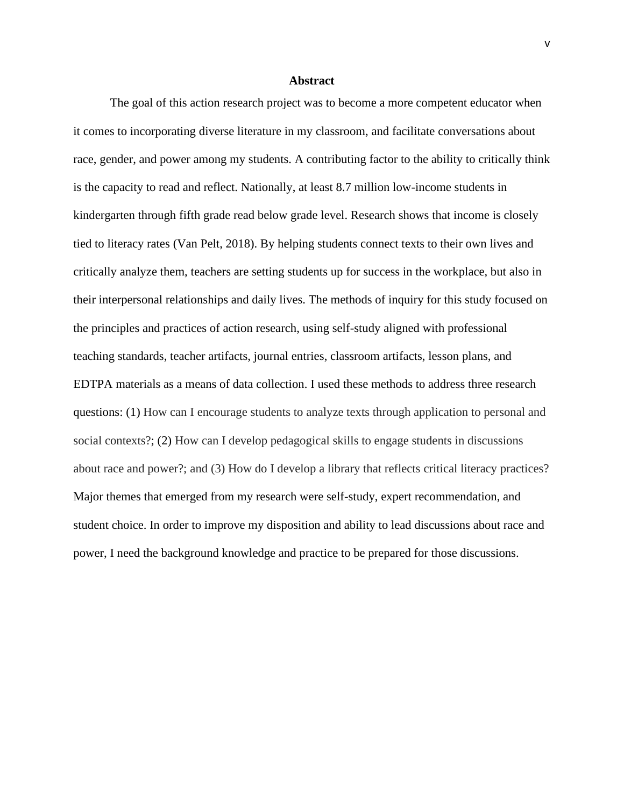#### **Abstract**

<span id="page-6-0"></span>The goal of this action research project was to become a more competent educator when it comes to incorporating diverse literature in my classroom, and facilitate conversations about race, gender, and power among my students. A contributing factor to the ability to critically think is the capacity to read and reflect. Nationally, at least 8.7 million low-income students in kindergarten through fifth grade read below grade level. Research shows that income is closely tied to literacy rates (Van Pelt, 2018). By helping students connect texts to their own lives and critically analyze them, teachers are setting students up for success in the workplace, but also in their interpersonal relationships and daily lives. The methods of inquiry for this study focused on the principles and practices of action research, using self-study aligned with professional teaching standards, teacher artifacts, journal entries, classroom artifacts, lesson plans, and EDTPA materials as a means of data collection. I used these methods to address three research questions: (1) How can I encourage students to analyze texts through application to personal and social contexts?; (2) How can I develop pedagogical skills to engage students in discussions about race and power?; and (3) How do I develop a library that reflects critical literacy practices? Major themes that emerged from my research were self-study, expert recommendation, and student choice. In order to improve my disposition and ability to lead discussions about race and power, I need the background knowledge and practice to be prepared for those discussions.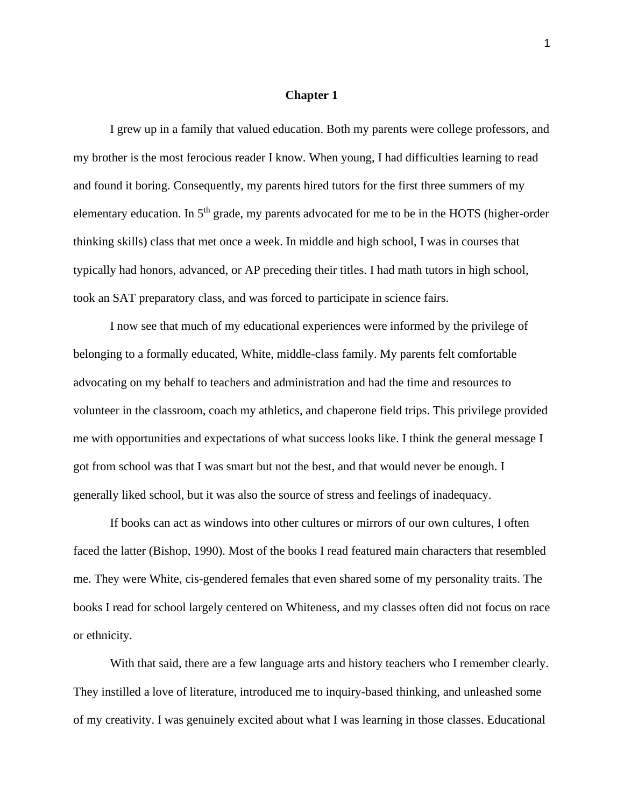#### **Chapter 1**

I grew up in a family that valued education. Both my parents were college professors, and my brother is the most ferocious reader I know. When young, I had difficulties learning to read and found it boring. Consequently, my parents hired tutors for the first three summers of my elementary education. In  $5<sup>th</sup>$  grade, my parents advocated for me to be in the HOTS (higher-order thinking skills) class that met once a week. In middle and high school, I was in courses that typically had honors, advanced, or AP preceding their titles. I had math tutors in high school, took an SAT preparatory class, and was forced to participate in science fairs.

I now see that much of my educational experiences were informed by the privilege of belonging to a formally educated, White, middle-class family. My parents felt comfortable advocating on my behalf to teachers and administration and had the time and resources to volunteer in the classroom, coach my athletics, and chaperone field trips. This privilege provided me with opportunities and expectations of what success looks like. I think the general message I got from school was that I was smart but not the best, and that would never be enough. I generally liked school, but it was also the source of stress and feelings of inadequacy.

If books can act as windows into other cultures or mirrors of our own cultures, I often faced the latter (Bishop, 1990). Most of the books I read featured main characters that resembled me. They were White, cis-gendered females that even shared some of my personality traits. The books I read for school largely centered on Whiteness, and my classes often did not focus on race or ethnicity.

With that said, there are a few language arts and history teachers who I remember clearly. They instilled a love of literature, introduced me to inquiry-based thinking, and unleashed some of my creativity. I was genuinely excited about what I was learning in those classes. Educational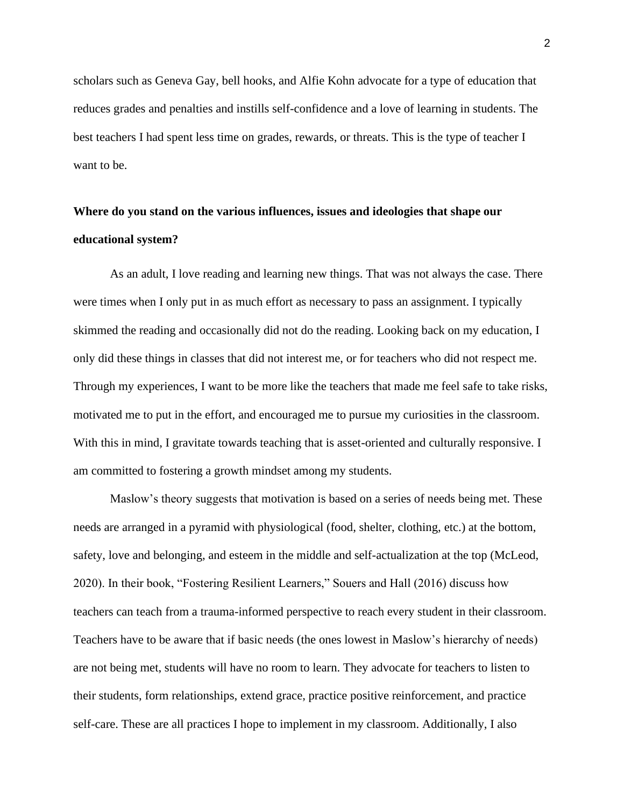scholars such as Geneva Gay, bell hooks, and Alfie Kohn advocate for a type of education that reduces grades and penalties and instills self-confidence and a love of learning in students. The best teachers I had spent less time on grades, rewards, or threats. This is the type of teacher I want to be.

# <span id="page-8-0"></span>**Where do you stand on the various influences, issues and ideologies that shape our educational system?**

As an adult, I love reading and learning new things. That was not always the case. There were times when I only put in as much effort as necessary to pass an assignment. I typically skimmed the reading and occasionally did not do the reading. Looking back on my education, I only did these things in classes that did not interest me, or for teachers who did not respect me. Through my experiences, I want to be more like the teachers that made me feel safe to take risks, motivated me to put in the effort, and encouraged me to pursue my curiosities in the classroom. With this in mind, I gravitate towards teaching that is asset-oriented and culturally responsive. I am committed to fostering a growth mindset among my students.

Maslow's theory suggests that motivation is based on a series of needs being met. These needs are arranged in a pyramid with physiological (food, shelter, clothing, etc.) at the bottom, safety, love and belonging, and esteem in the middle and self-actualization at the top (McLeod, 2020). In their book, "Fostering Resilient Learners," Souers and Hall (2016) discuss how teachers can teach from a trauma-informed perspective to reach every student in their classroom. Teachers have to be aware that if basic needs (the ones lowest in Maslow's hierarchy of needs) are not being met, students will have no room to learn. They advocate for teachers to listen to their students, form relationships, extend grace, practice positive reinforcement, and practice self-care. These are all practices I hope to implement in my classroom. Additionally, I also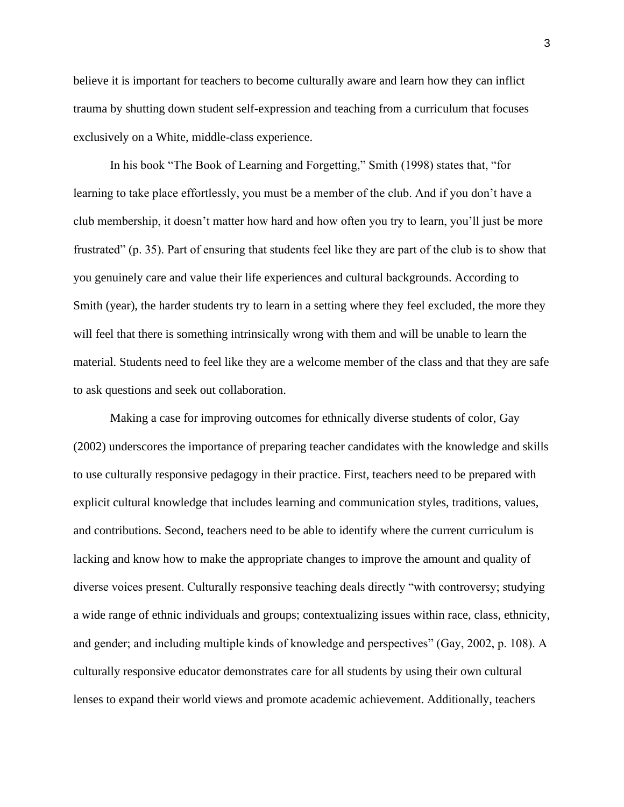believe it is important for teachers to become culturally aware and learn how they can inflict trauma by shutting down student self-expression and teaching from a curriculum that focuses exclusively on a White, middle-class experience.

In his book "The Book of Learning and Forgetting," Smith (1998) states that, "for learning to take place effortlessly, you must be a member of the club. And if you don't have a club membership, it doesn't matter how hard and how often you try to learn, you'll just be more frustrated" (p. 35). Part of ensuring that students feel like they are part of the club is to show that you genuinely care and value their life experiences and cultural backgrounds. According to Smith (year), the harder students try to learn in a setting where they feel excluded, the more they will feel that there is something intrinsically wrong with them and will be unable to learn the material. Students need to feel like they are a welcome member of the class and that they are safe to ask questions and seek out collaboration.

Making a case for improving outcomes for ethnically diverse students of color, Gay (2002) underscores the importance of preparing teacher candidates with the knowledge and skills to use culturally responsive pedagogy in their practice. First, teachers need to be prepared with explicit cultural knowledge that includes learning and communication styles, traditions, values, and contributions. Second, teachers need to be able to identify where the current curriculum is lacking and know how to make the appropriate changes to improve the amount and quality of diverse voices present. Culturally responsive teaching deals directly "with controversy; studying a wide range of ethnic individuals and groups; contextualizing issues within race, class, ethnicity, and gender; and including multiple kinds of knowledge and perspectives" (Gay, 2002, p. 108). A culturally responsive educator demonstrates care for all students by using their own cultural lenses to expand their world views and promote academic achievement. Additionally, teachers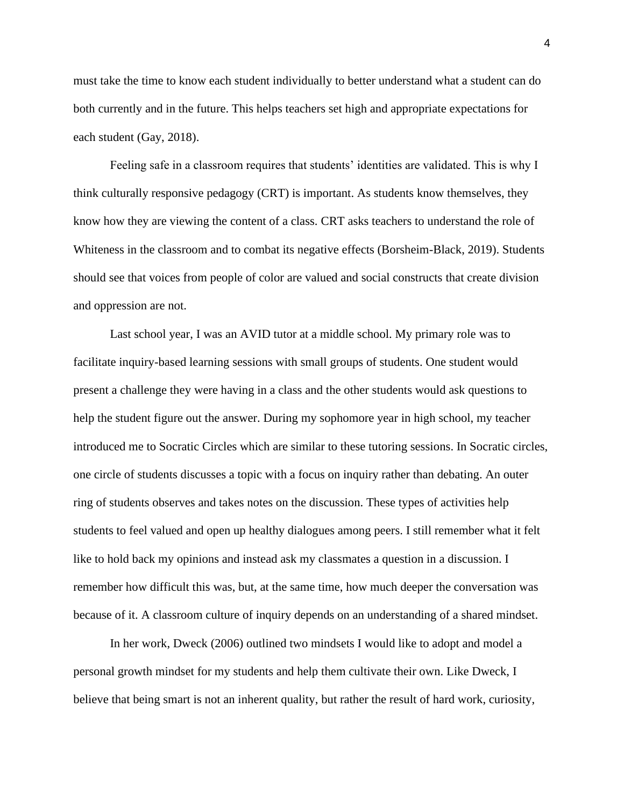must take the time to know each student individually to better understand what a student can do both currently and in the future. This helps teachers set high and appropriate expectations for each student (Gay, 2018).

Feeling safe in a classroom requires that students' identities are validated. This is why I think culturally responsive pedagogy (CRT) is important. As students know themselves, they know how they are viewing the content of a class. CRT asks teachers to understand the role of Whiteness in the classroom and to combat its negative effects (Borsheim-Black, 2019). Students should see that voices from people of color are valued and social constructs that create division and oppression are not.

Last school year, I was an AVID tutor at a middle school. My primary role was to facilitate inquiry-based learning sessions with small groups of students. One student would present a challenge they were having in a class and the other students would ask questions to help the student figure out the answer. During my sophomore year in high school, my teacher introduced me to Socratic Circles which are similar to these tutoring sessions. In Socratic circles, one circle of students discusses a topic with a focus on inquiry rather than debating. An outer ring of students observes and takes notes on the discussion. These types of activities help students to feel valued and open up healthy dialogues among peers. I still remember what it felt like to hold back my opinions and instead ask my classmates a question in a discussion. I remember how difficult this was, but, at the same time, how much deeper the conversation was because of it. A classroom culture of inquiry depends on an understanding of a shared mindset.

In her work, Dweck (2006) outlined two mindsets I would like to adopt and model a personal growth mindset for my students and help them cultivate their own. Like Dweck, I believe that being smart is not an inherent quality, but rather the result of hard work, curiosity,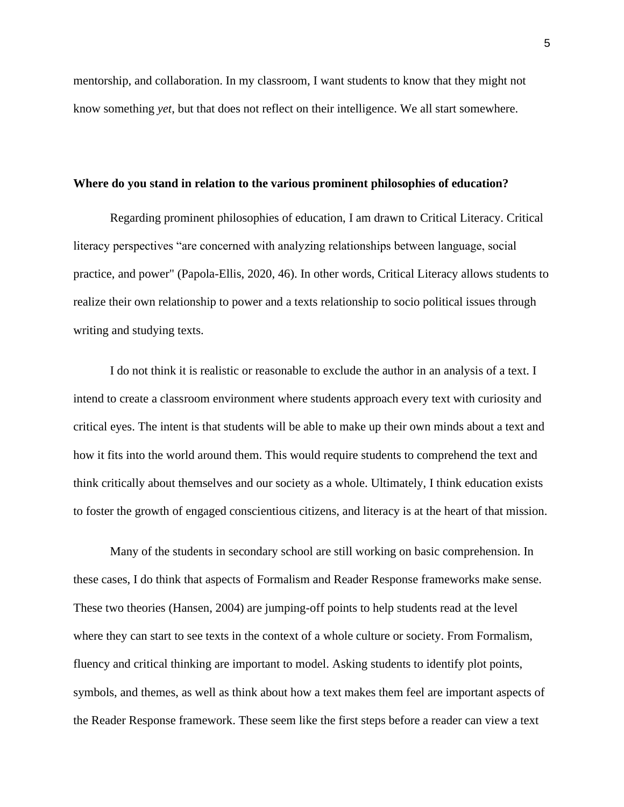mentorship, and collaboration. In my classroom, I want students to know that they might not know something *yet*, but that does not reflect on their intelligence. We all start somewhere.

#### <span id="page-11-0"></span>**Where do you stand in relation to the various prominent philosophies of education?**

Regarding prominent philosophies of education, I am drawn to Critical Literacy. Critical literacy perspectives "are concerned with analyzing relationships between language, social practice, and power" (Papola-Ellis, 2020, 46). In other words, Critical Literacy allows students to realize their own relationship to power and a texts relationship to socio political issues through writing and studying texts.

I do not think it is realistic or reasonable to exclude the author in an analysis of a text. I intend to create a classroom environment where students approach every text with curiosity and critical eyes. The intent is that students will be able to make up their own minds about a text and how it fits into the world around them. This would require students to comprehend the text and think critically about themselves and our society as a whole. Ultimately, I think education exists to foster the growth of engaged conscientious citizens, and literacy is at the heart of that mission.

Many of the students in secondary school are still working on basic comprehension. In these cases, I do think that aspects of Formalism and Reader Response frameworks make sense. These two theories (Hansen, 2004) are jumping-off points to help students read at the level where they can start to see texts in the context of a whole culture or society. From Formalism, fluency and critical thinking are important to model. Asking students to identify plot points, symbols, and themes, as well as think about how a text makes them feel are important aspects of the Reader Response framework. These seem like the first steps before a reader can view a text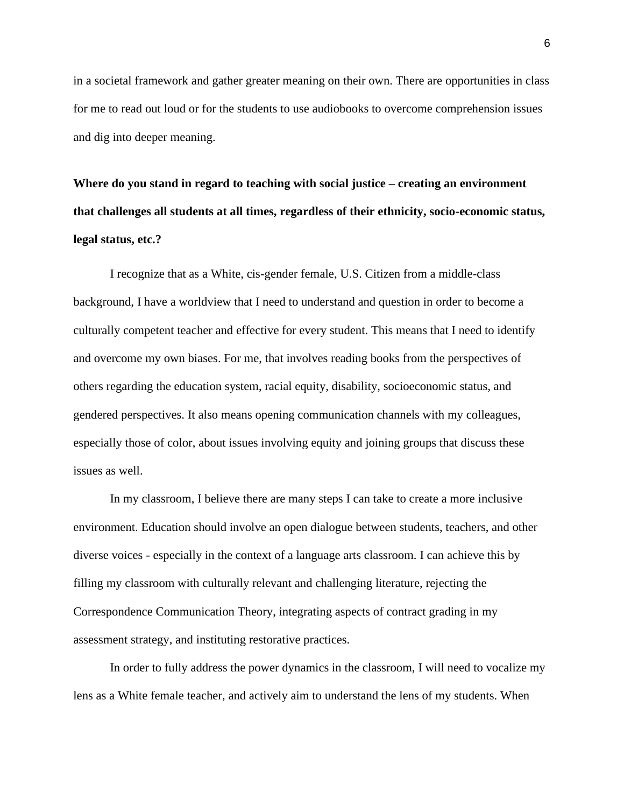in a societal framework and gather greater meaning on their own. There are opportunities in class for me to read out loud or for the students to use audiobooks to overcome comprehension issues and dig into deeper meaning.

<span id="page-12-0"></span>**Where do you stand in regard to teaching with social justice – creating an environment that challenges all students at all times, regardless of their ethnicity, socio-economic status, legal status, etc.?**

I recognize that as a White, cis-gender female, U.S. Citizen from a middle-class background, I have a worldview that I need to understand and question in order to become a culturally competent teacher and effective for every student. This means that I need to identify and overcome my own biases. For me, that involves reading books from the perspectives of others regarding the education system, racial equity, disability, socioeconomic status, and gendered perspectives. It also means opening communication channels with my colleagues, especially those of color, about issues involving equity and joining groups that discuss these issues as well.

In my classroom, I believe there are many steps I can take to create a more inclusive environment. Education should involve an open dialogue between students, teachers, and other diverse voices - especially in the context of a language arts classroom. I can achieve this by filling my classroom with culturally relevant and challenging literature, rejecting the Correspondence Communication Theory, integrating aspects of contract grading in my assessment strategy, and instituting restorative practices.

In order to fully address the power dynamics in the classroom, I will need to vocalize my lens as a White female teacher, and actively aim to understand the lens of my students. When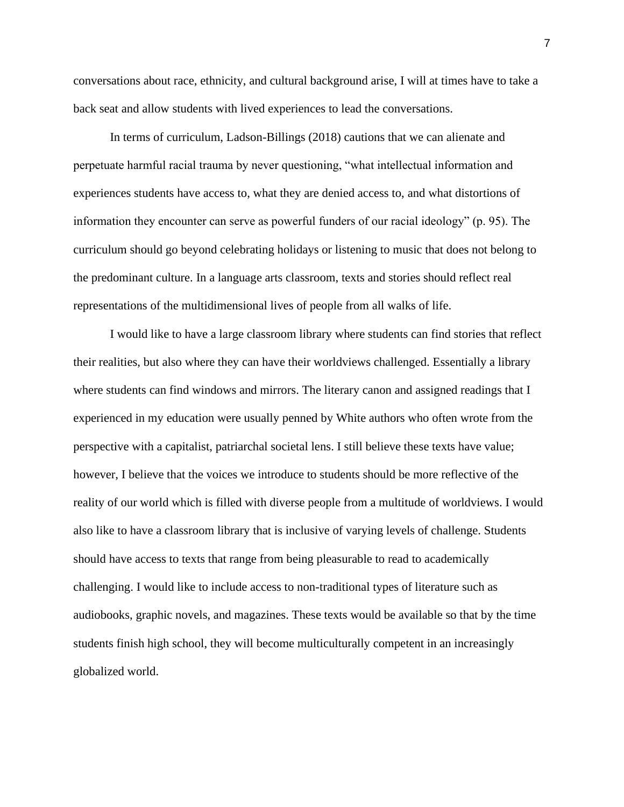conversations about race, ethnicity, and cultural background arise, I will at times have to take a back seat and allow students with lived experiences to lead the conversations.

In terms of curriculum, Ladson-Billings (2018) cautions that we can alienate and perpetuate harmful racial trauma by never questioning, "what intellectual information and experiences students have access to, what they are denied access to, and what distortions of information they encounter can serve as powerful funders of our racial ideology" (p. 95). The curriculum should go beyond celebrating holidays or listening to music that does not belong to the predominant culture. In a language arts classroom, texts and stories should reflect real representations of the multidimensional lives of people from all walks of life.

I would like to have a large classroom library where students can find stories that reflect their realities, but also where they can have their worldviews challenged. Essentially a library where students can find windows and mirrors. The literary canon and assigned readings that I experienced in my education were usually penned by White authors who often wrote from the perspective with a capitalist, patriarchal societal lens. I still believe these texts have value; however, I believe that the voices we introduce to students should be more reflective of the reality of our world which is filled with diverse people from a multitude of worldviews. I would also like to have a classroom library that is inclusive of varying levels of challenge. Students should have access to texts that range from being pleasurable to read to academically challenging. I would like to include access to non-traditional types of literature such as audiobooks, graphic novels, and magazines. These texts would be available so that by the time students finish high school, they will become multiculturally competent in an increasingly globalized world.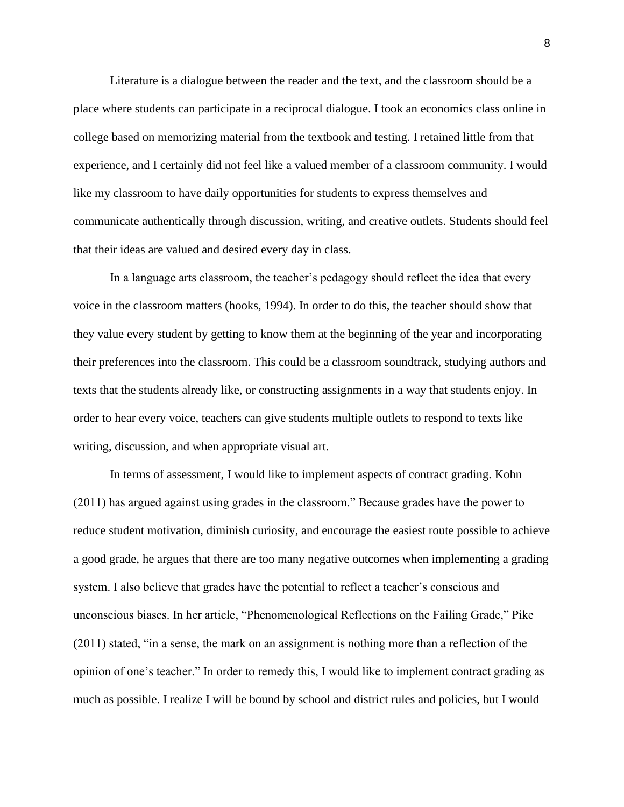Literature is a dialogue between the reader and the text, and the classroom should be a place where students can participate in a reciprocal dialogue. I took an economics class online in college based on memorizing material from the textbook and testing. I retained little from that experience, and I certainly did not feel like a valued member of a classroom community. I would like my classroom to have daily opportunities for students to express themselves and communicate authentically through discussion, writing, and creative outlets. Students should feel that their ideas are valued and desired every day in class.

In a language arts classroom, the teacher's pedagogy should reflect the idea that every voice in the classroom matters (hooks, 1994). In order to do this, the teacher should show that they value every student by getting to know them at the beginning of the year and incorporating their preferences into the classroom. This could be a classroom soundtrack, studying authors and texts that the students already like, or constructing assignments in a way that students enjoy. In order to hear every voice, teachers can give students multiple outlets to respond to texts like writing, discussion, and when appropriate visual art.

In terms of assessment, I would like to implement aspects of contract grading. Kohn (2011) has argued against using grades in the classroom." Because grades have the power to reduce student motivation, diminish curiosity, and encourage the easiest route possible to achieve a good grade, he argues that there are too many negative outcomes when implementing a grading system. I also believe that grades have the potential to reflect a teacher's conscious and unconscious biases. In her article, "Phenomenological Reflections on the Failing Grade," Pike (2011) stated, "in a sense, the mark on an assignment is nothing more than a reflection of the opinion of one's teacher." In order to remedy this, I would like to implement contract grading as much as possible. I realize I will be bound by school and district rules and policies, but I would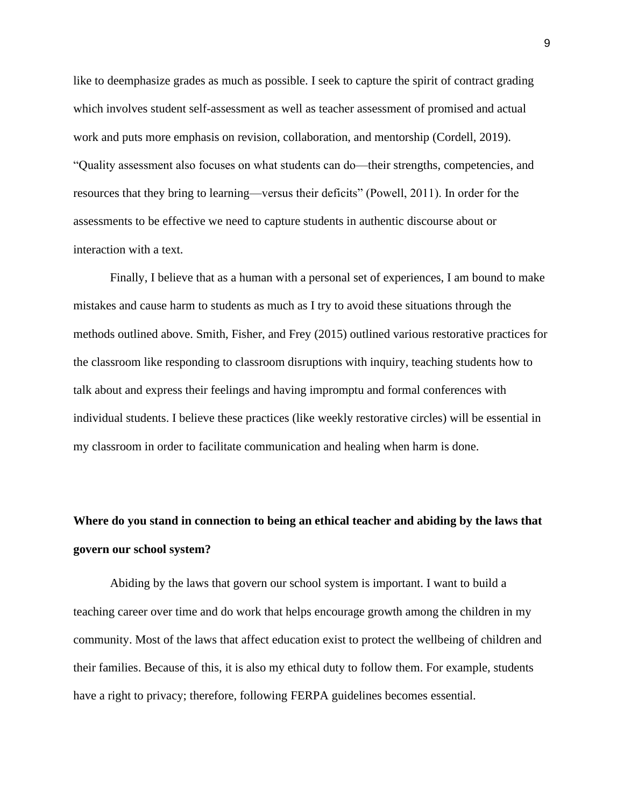like to deemphasize grades as much as possible. I seek to capture the spirit of contract grading which involves student self-assessment as well as teacher assessment of promised and actual work and puts more emphasis on revision, collaboration, and mentorship (Cordell, 2019). "Quality assessment also focuses on what students can do—their strengths, competencies, and resources that they bring to learning—versus their deficits" (Powell, 2011). In order for the assessments to be effective we need to capture students in authentic discourse about or interaction with a text.

Finally, I believe that as a human with a personal set of experiences, I am bound to make mistakes and cause harm to students as much as I try to avoid these situations through the methods outlined above. Smith, Fisher, and Frey (2015) outlined various restorative practices for the classroom like responding to classroom disruptions with inquiry, teaching students how to talk about and express their feelings and having impromptu and formal conferences with individual students. I believe these practices (like weekly restorative circles) will be essential in my classroom in order to facilitate communication and healing when harm is done.

# <span id="page-15-0"></span>**Where do you stand in connection to being an ethical teacher and abiding by the laws that govern our school system?**

Abiding by the laws that govern our school system is important. I want to build a teaching career over time and do work that helps encourage growth among the children in my community. Most of the laws that affect education exist to protect the wellbeing of children and their families. Because of this, it is also my ethical duty to follow them. For example, students have a right to privacy; therefore, following FERPA guidelines becomes essential.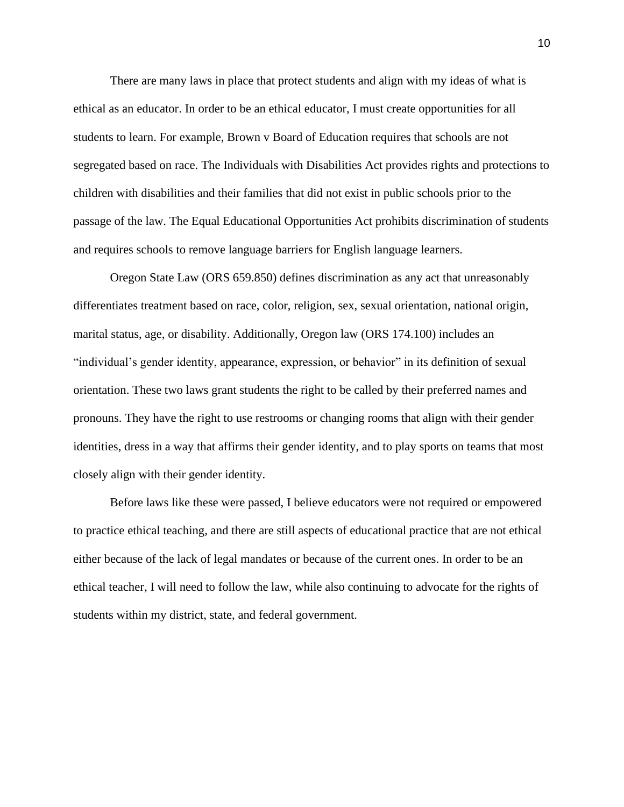There are many laws in place that protect students and align with my ideas of what is ethical as an educator. In order to be an ethical educator, I must create opportunities for all students to learn. For example, Brown v Board of Education requires that schools are not segregated based on race. The Individuals with Disabilities Act provides rights and protections to children with disabilities and their families that did not exist in public schools prior to the passage of the law. The Equal Educational Opportunities Act prohibits discrimination of students and requires schools to remove language barriers for English language learners.

Oregon State Law (ORS 659.850) defines discrimination as any act that unreasonably differentiates treatment based on race, color, religion, sex, sexual orientation, national origin, marital status, age, or disability. Additionally, Oregon law (ORS 174.100) includes an "individual's gender identity, appearance, expression, or behavior" in its definition of sexual orientation. These two laws grant students the right to be called by their preferred names and pronouns. They have the right to use restrooms or changing rooms that align with their gender identities, dress in a way that affirms their gender identity, and to play sports on teams that most closely align with their gender identity.

Before laws like these were passed, I believe educators were not required or empowered to practice ethical teaching, and there are still aspects of educational practice that are not ethical either because of the lack of legal mandates or because of the current ones. In order to be an ethical teacher, I will need to follow the law, while also continuing to advocate for the rights of students within my district, state, and federal government.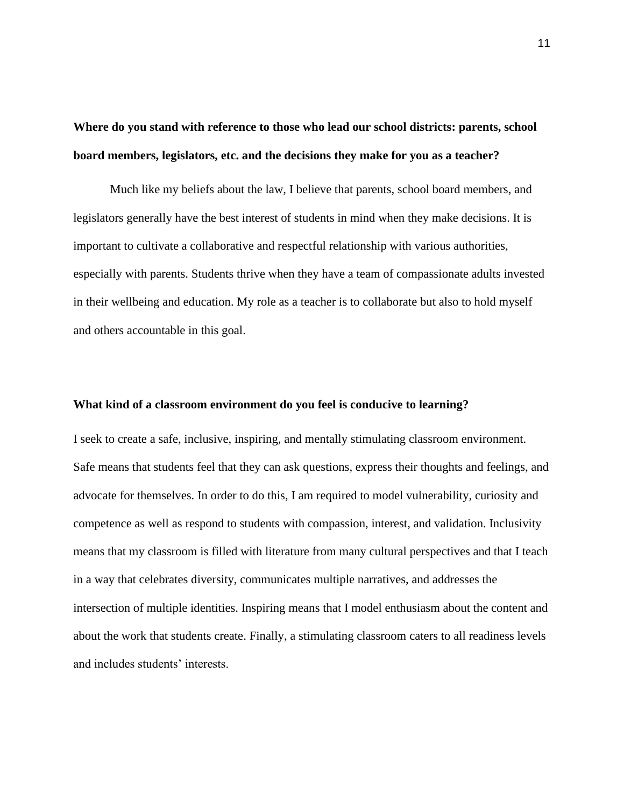<span id="page-17-0"></span>**Where do you stand with reference to those who lead our school districts: parents, school board members, legislators, etc. and the decisions they make for you as a teacher?**

Much like my beliefs about the law, I believe that parents, school board members, and legislators generally have the best interest of students in mind when they make decisions. It is important to cultivate a collaborative and respectful relationship with various authorities, especially with parents. Students thrive when they have a team of compassionate adults invested in their wellbeing and education. My role as a teacher is to collaborate but also to hold myself and others accountable in this goal.

#### <span id="page-17-1"></span>**What kind of a classroom environment do you feel is conducive to learning?**

I seek to create a safe, inclusive, inspiring, and mentally stimulating classroom environment. Safe means that students feel that they can ask questions, express their thoughts and feelings, and advocate for themselves. In order to do this, I am required to model vulnerability, curiosity and competence as well as respond to students with compassion, interest, and validation. Inclusivity means that my classroom is filled with literature from many cultural perspectives and that I teach in a way that celebrates diversity, communicates multiple narratives, and addresses the intersection of multiple identities. Inspiring means that I model enthusiasm about the content and about the work that students create. Finally, a stimulating classroom caters to all readiness levels and includes students' interests.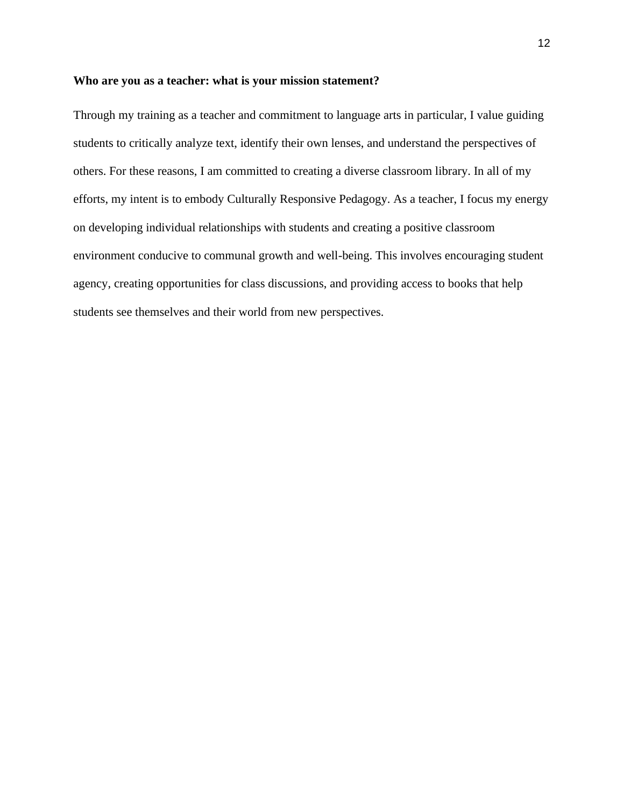#### <span id="page-18-0"></span>**Who are you as a teacher: what is your mission statement?**

<span id="page-18-1"></span>Through my training as a teacher and commitment to language arts in particular, I value guiding students to critically analyze text, identify their own lenses, and understand the perspectives of others. For these reasons, I am committed to creating a diverse classroom library. In all of my efforts, my intent is to embody Culturally Responsive Pedagogy. As a teacher, I focus my energy on developing individual relationships with students and creating a positive classroom environment conducive to communal growth and well-being. This involves encouraging student agency, creating opportunities for class discussions, and providing access to books that help students see themselves and their world from new perspectives.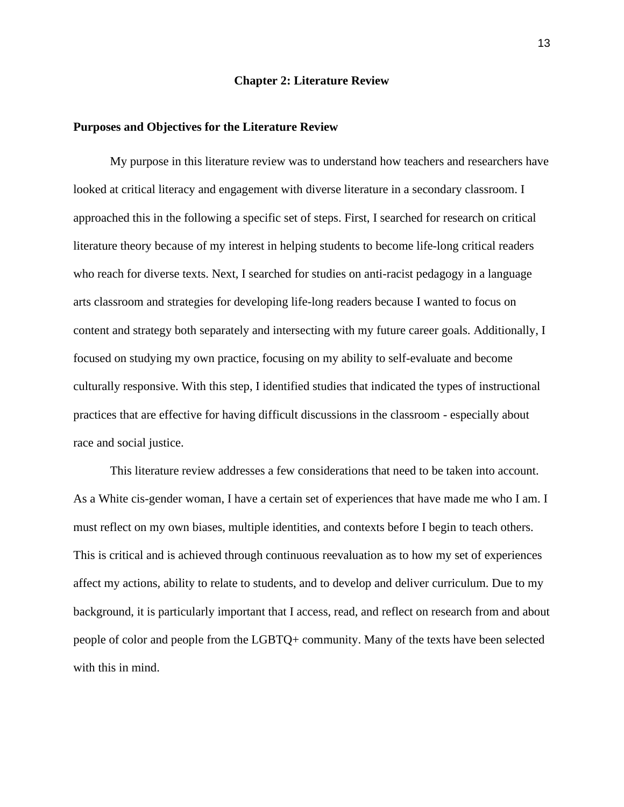#### **Chapter 2: Literature Review**

#### <span id="page-19-0"></span>**Purposes and Objectives for the Literature Review**

My purpose in this literature review was to understand how teachers and researchers have looked at critical literacy and engagement with diverse literature in a secondary classroom. I approached this in the following a specific set of steps. First, I searched for research on critical literature theory because of my interest in helping students to become life-long critical readers who reach for diverse texts. Next, I searched for studies on anti-racist pedagogy in a language arts classroom and strategies for developing life-long readers because I wanted to focus on content and strategy both separately and intersecting with my future career goals. Additionally, I focused on studying my own practice, focusing on my ability to self-evaluate and become culturally responsive. With this step, I identified studies that indicated the types of instructional practices that are effective for having difficult discussions in the classroom - especially about race and social justice.

This literature review addresses a few considerations that need to be taken into account. As a White cis-gender woman, I have a certain set of experiences that have made me who I am. I must reflect on my own biases, multiple identities, and contexts before I begin to teach others. This is critical and is achieved through continuous reevaluation as to how my set of experiences affect my actions, ability to relate to students, and to develop and deliver curriculum. Due to my background, it is particularly important that I access, read, and reflect on research from and about people of color and people from the LGBTQ+ community. Many of the texts have been selected with this in mind.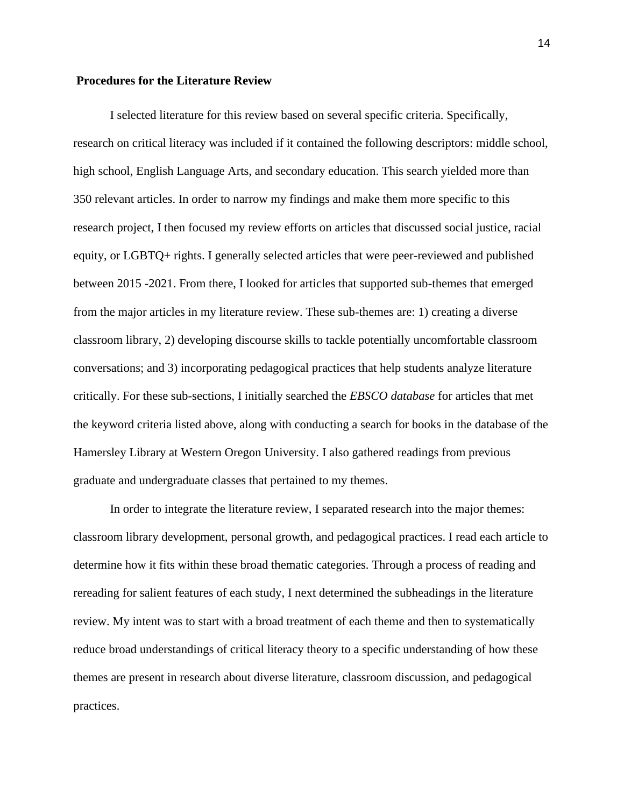#### <span id="page-20-0"></span>**Procedures for the Literature Review**

I selected literature for this review based on several specific criteria. Specifically, research on critical literacy was included if it contained the following descriptors: middle school, high school, English Language Arts, and secondary education. This search yielded more than 350 relevant articles. In order to narrow my findings and make them more specific to this research project, I then focused my review efforts on articles that discussed social justice, racial equity, or LGBTQ+ rights. I generally selected articles that were peer-reviewed and published between 2015 -2021. From there, I looked for articles that supported sub-themes that emerged from the major articles in my literature review. These sub-themes are: 1) creating a diverse classroom library, 2) developing discourse skills to tackle potentially uncomfortable classroom conversations; and 3) incorporating pedagogical practices that help students analyze literature critically. For these sub-sections, I initially searched the *EBSCO database* for articles that met the keyword criteria listed above, along with conducting a search for books in the database of the Hamersley Library at Western Oregon University. I also gathered readings from previous graduate and undergraduate classes that pertained to my themes.

In order to integrate the literature review, I separated research into the major themes: classroom library development, personal growth, and pedagogical practices. I read each article to determine how it fits within these broad thematic categories. Through a process of reading and rereading for salient features of each study, I next determined the subheadings in the literature review. My intent was to start with a broad treatment of each theme and then to systematically reduce broad understandings of critical literacy theory to a specific understanding of how these themes are present in research about diverse literature, classroom discussion, and pedagogical practices.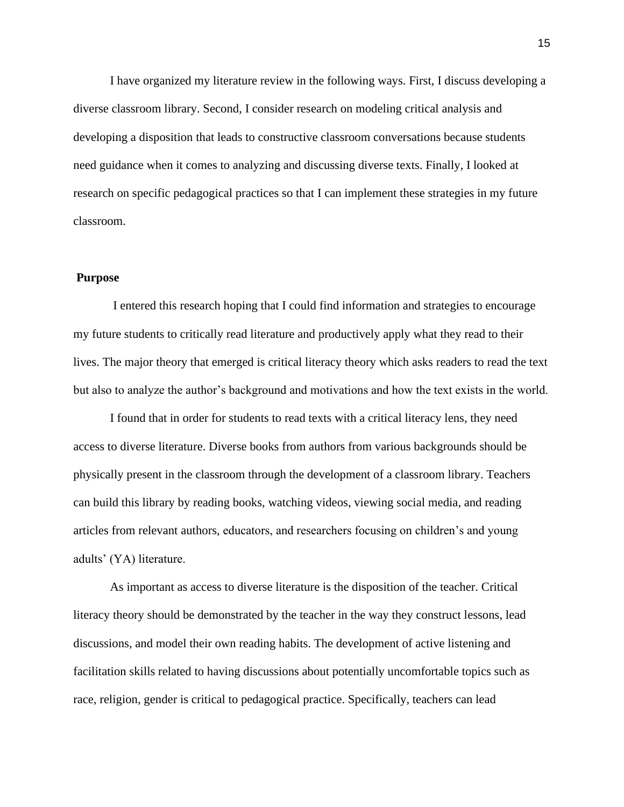I have organized my literature review in the following ways. First, I discuss developing a diverse classroom library. Second, I consider research on modeling critical analysis and developing a disposition that leads to constructive classroom conversations because students need guidance when it comes to analyzing and discussing diverse texts. Finally, I looked at research on specific pedagogical practices so that I can implement these strategies in my future classroom.

#### **Purpose**

I entered this research hoping that I could find information and strategies to encourage my future students to critically read literature and productively apply what they read to their lives. The major theory that emerged is critical literacy theory which asks readers to read the text but also to analyze the author's background and motivations and how the text exists in the world.

I found that in order for students to read texts with a critical literacy lens, they need access to diverse literature. Diverse books from authors from various backgrounds should be physically present in the classroom through the development of a classroom library. Teachers can build this library by reading books, watching videos, viewing social media, and reading articles from relevant authors, educators, and researchers focusing on children's and young adults' (YA) literature.

As important as access to diverse literature is the disposition of the teacher. Critical literacy theory should be demonstrated by the teacher in the way they construct lessons, lead discussions, and model their own reading habits. The development of active listening and facilitation skills related to having discussions about potentially uncomfortable topics such as race, religion, gender is critical to pedagogical practice. Specifically, teachers can lead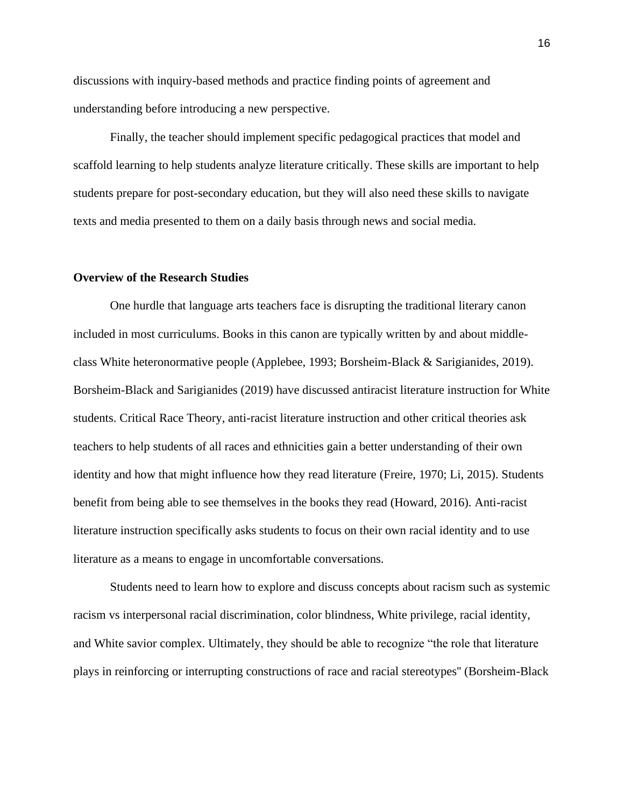discussions with inquiry-based methods and practice finding points of agreement and understanding before introducing a new perspective.

Finally, the teacher should implement specific pedagogical practices that model and scaffold learning to help students analyze literature critically. These skills are important to help students prepare for post-secondary education, but they will also need these skills to navigate texts and media presented to them on a daily basis through news and social media.

#### **Overview of the Research Studies**

One hurdle that language arts teachers face is disrupting the traditional literary canon included in most curriculums. Books in this canon are typically written by and about middleclass White heteronormative people (Applebee, 1993; Borsheim-Black & Sarigianides, 2019). Borsheim-Black and Sarigianides (2019) have discussed antiracist literature instruction for White students. Critical Race Theory, anti-racist literature instruction and other critical theories ask teachers to help students of all races and ethnicities gain a better understanding of their own identity and how that might influence how they read literature (Freire, 1970; Li, 2015). Students benefit from being able to see themselves in the books they read (Howard, 2016). Anti-racist literature instruction specifically asks students to focus on their own racial identity and to use literature as a means to engage in uncomfortable conversations.

Students need to learn how to explore and discuss concepts about racism such as systemic racism vs interpersonal racial discrimination, color blindness, White privilege, racial identity, and White savior complex. Ultimately, they should be able to recognize "the role that literature plays in reinforcing or interrupting constructions of race and racial stereotypes'' (Borsheim-Black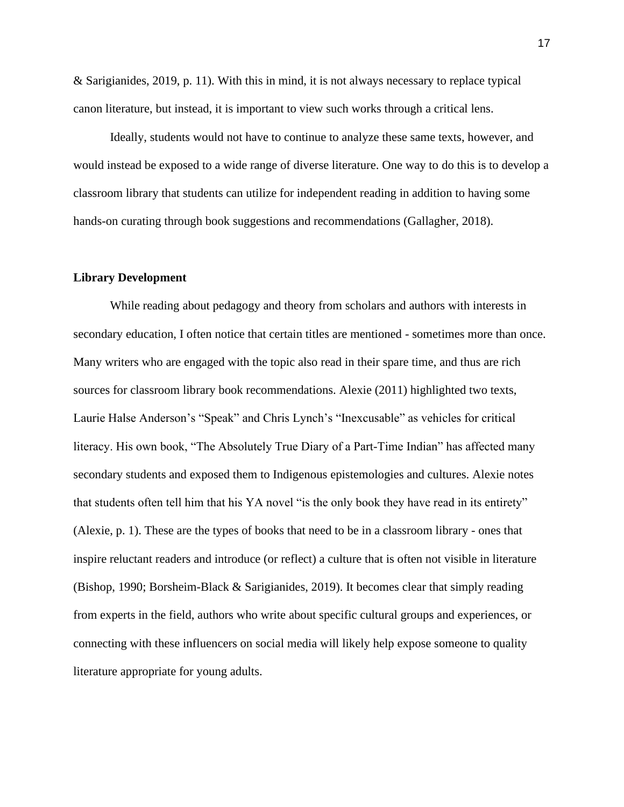& Sarigianides, 2019, p. 11). With this in mind, it is not always necessary to replace typical canon literature, but instead, it is important to view such works through a critical lens.

Ideally, students would not have to continue to analyze these same texts, however, and would instead be exposed to a wide range of diverse literature. One way to do this is to develop a classroom library that students can utilize for independent reading in addition to having some hands-on curating through book suggestions and recommendations (Gallagher, 2018).

#### **Library Development**

While reading about pedagogy and theory from scholars and authors with interests in secondary education, I often notice that certain titles are mentioned - sometimes more than once. Many writers who are engaged with the topic also read in their spare time, and thus are rich sources for classroom library book recommendations. Alexie (2011) highlighted two texts, Laurie Halse Anderson's "Speak" and Chris Lynch's "Inexcusable" as vehicles for critical literacy. His own book, "The Absolutely True Diary of a Part-Time Indian" has affected many secondary students and exposed them to Indigenous epistemologies and cultures. Alexie notes that students often tell him that his YA novel "is the only book they have read in its entirety" (Alexie, p. 1). These are the types of books that need to be in a classroom library - ones that inspire reluctant readers and introduce (or reflect) a culture that is often not visible in literature (Bishop, 1990; Borsheim-Black & Sarigianides, 2019). It becomes clear that simply reading from experts in the field, authors who write about specific cultural groups and experiences, or connecting with these influencers on social media will likely help expose someone to quality literature appropriate for young adults.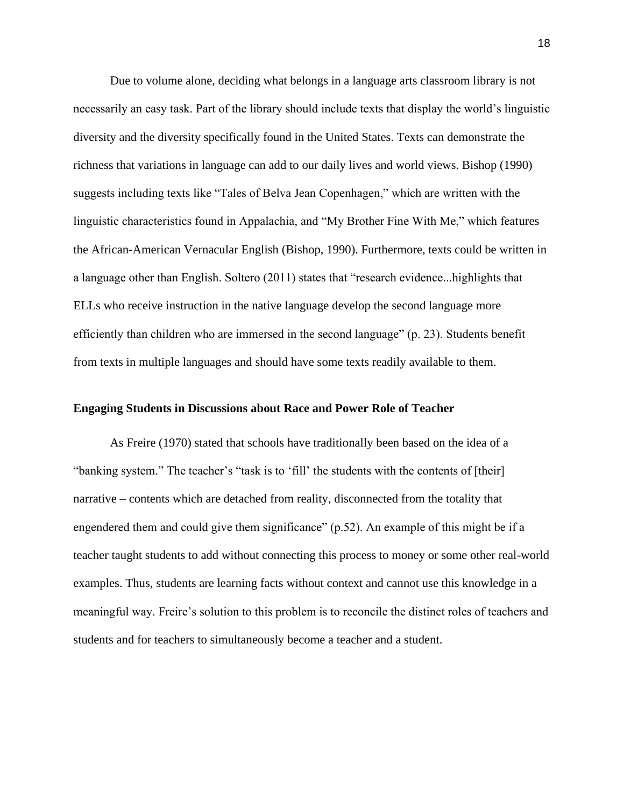Due to volume alone, deciding what belongs in a language arts classroom library is not necessarily an easy task. Part of the library should include texts that display the world's linguistic diversity and the diversity specifically found in the United States. Texts can demonstrate the richness that variations in language can add to our daily lives and world views. Bishop (1990) suggests including texts like "Tales of Belva Jean Copenhagen," which are written with the linguistic characteristics found in Appalachia, and "My Brother Fine With Me," which features the African-American Vernacular English (Bishop, 1990). Furthermore, texts could be written in a language other than English. Soltero (2011) states that "research evidence...highlights that ELLs who receive instruction in the native language develop the second language more efficiently than children who are immersed in the second language" (p. 23). Students benefit from texts in multiple languages and should have some texts readily available to them.

#### <span id="page-24-0"></span>**Engaging Students in Discussions about Race and Power Role of Teacher**

As Freire (1970) stated that schools have traditionally been based on the idea of a "banking system." The teacher's "task is to 'fill' the students with the contents of [their] narrative – contents which are detached from reality, disconnected from the totality that engendered them and could give them significance" (p.52). An example of this might be if a teacher taught students to add without connecting this process to money or some other real-world examples. Thus, students are learning facts without context and cannot use this knowledge in a meaningful way. Freire's solution to this problem is to reconcile the distinct roles of teachers and students and for teachers to simultaneously become a teacher and a student.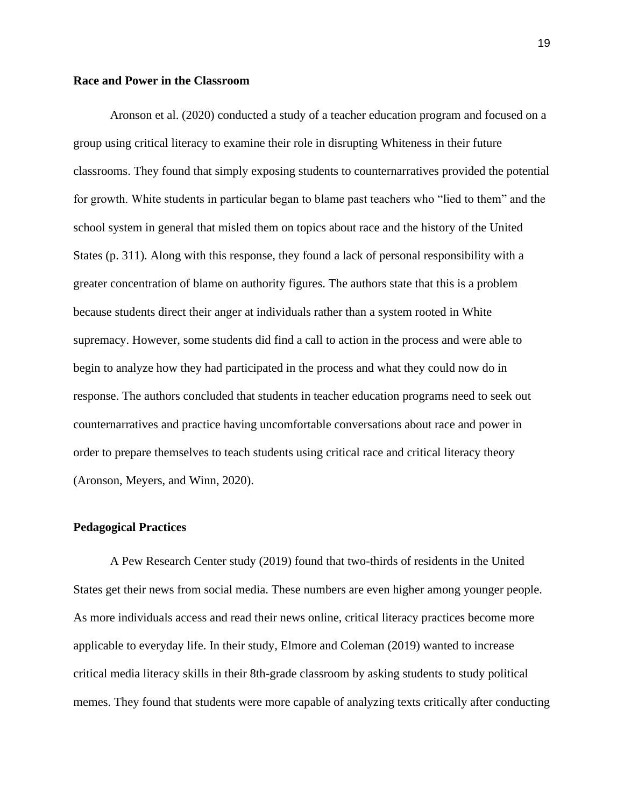#### <span id="page-25-0"></span>**Race and Power in the Classroom**

Aronson et al. (2020) conducted a study of a teacher education program and focused on a group using critical literacy to examine their role in disrupting Whiteness in their future classrooms. They found that simply exposing students to counternarratives provided the potential for growth. White students in particular began to blame past teachers who "lied to them" and the school system in general that misled them on topics about race and the history of the United States (p. 311). Along with this response, they found a lack of personal responsibility with a greater concentration of blame on authority figures. The authors state that this is a problem because students direct their anger at individuals rather than a system rooted in White supremacy. However, some students did find a call to action in the process and were able to begin to analyze how they had participated in the process and what they could now do in response. The authors concluded that students in teacher education programs need to seek out counternarratives and practice having uncomfortable conversations about race and power in order to prepare themselves to teach students using critical race and critical literacy theory (Aronson, Meyers, and Winn, 2020).

#### <span id="page-25-1"></span>**Pedagogical Practices**

A Pew Research Center study (2019) found that two-thirds of residents in the United States get their news from social media. These numbers are even higher among younger people. As more individuals access and read their news online, critical literacy practices become more applicable to everyday life. In their study, Elmore and Coleman (2019) wanted to increase critical media literacy skills in their 8th-grade classroom by asking students to study political memes. They found that students were more capable of analyzing texts critically after conducting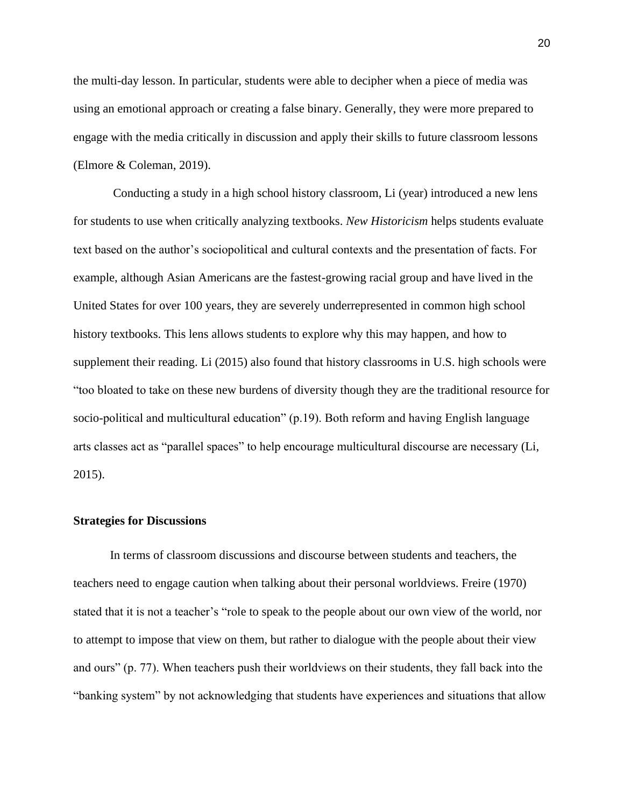the multi-day lesson. In particular, students were able to decipher when a piece of media was using an emotional approach or creating a false binary. Generally, they were more prepared to engage with the media critically in discussion and apply their skills to future classroom lessons (Elmore & Coleman, 2019).

Conducting a study in a high school history classroom, Li (year) introduced a new lens for students to use when critically analyzing textbooks. *New Historicism* helps students evaluate text based on the author's sociopolitical and cultural contexts and the presentation of facts. For example, although Asian Americans are the fastest-growing racial group and have lived in the United States for over 100 years, they are severely underrepresented in common high school history textbooks. This lens allows students to explore why this may happen, and how to supplement their reading. Li (2015) also found that history classrooms in U.S. high schools were "too bloated to take on these new burdens of diversity though they are the traditional resource for socio-political and multicultural education" (p.19). Both reform and having English language arts classes act as "parallel spaces" to help encourage multicultural discourse are necessary (Li, 2015).

#### <span id="page-26-0"></span>**Strategies for Discussions**

In terms of classroom discussions and discourse between students and teachers, the teachers need to engage caution when talking about their personal worldviews. Freire (1970) stated that it is not a teacher's "role to speak to the people about our own view of the world, nor to attempt to impose that view on them, but rather to dialogue with the people about their view and ours" (p. 77). When teachers push their worldviews on their students, they fall back into the "banking system" by not acknowledging that students have experiences and situations that allow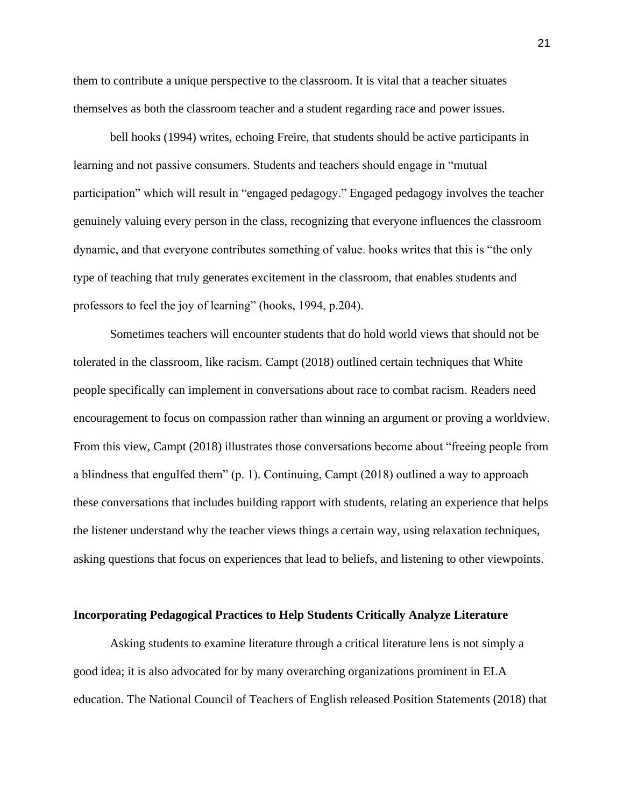them to contribute a unique perspective to the classroom. It is vital that a teacher situates themselves as both the classroom teacher and a student regarding race and power issues.

bell hooks (1994) writes, echoing Freire, that students should be active participants in learning and not passive consumers. Students and teachers should engage in "mutual participation" which will result in "engaged pedagogy." Engaged pedagogy involves the teacher genuinely valuing every person in the class, recognizing that everyone influences the classroom dynamic, and that everyone contributes something of value. hooks writes that this is "the only type of teaching that truly generates excitement in the classroom, that enables students and professors to feel the joy of learning" (hooks, 1994, p.204).

Sometimes teachers will encounter students that do hold world views that should not be tolerated in the classroom, like racism. Campt (2018) outlined certain techniques that White people specifically can implement in conversations about race to combat racism. Readers need encouragement to focus on compassion rather than winning an argument or proving a worldview. From this view, Campt (2018) illustrates those conversations become about "freeing people from a blindness that engulfed them" (p. 1). Continuing, Campt (2018) outlined a way to approach these conversations that includes building rapport with students, relating an experience that helps the listener understand why the teacher views things a certain way, using relaxation techniques, asking questions that focus on experiences that lead to beliefs, and listening to other viewpoints.

#### **Incorporating Pedagogical Practices to Help Students Critically Analyze Literature**

Asking students to examine literature through a critical literature lens is not simply a good idea; it is also advocated for by many overarching organizations prominent in ELA education. The National Council of Teachers of English released Position Statements (2018) that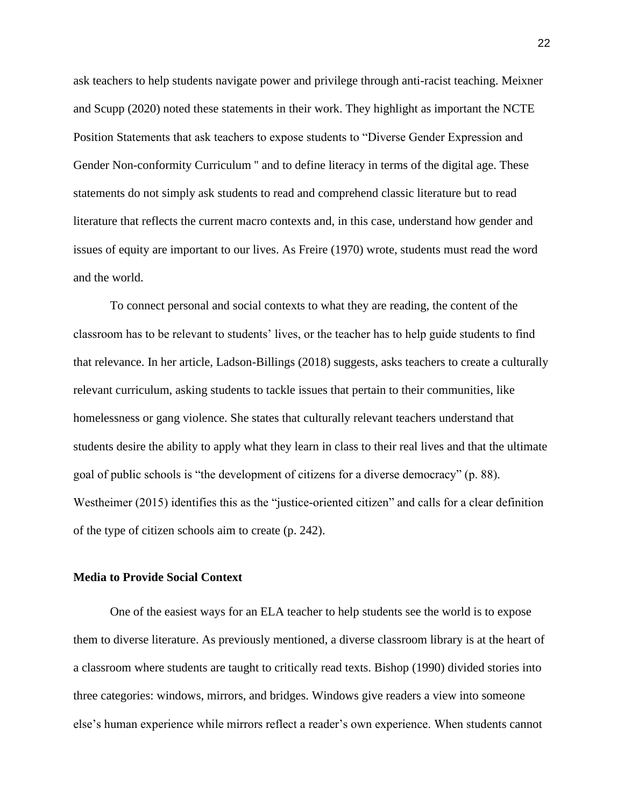ask teachers to help students navigate power and privilege through anti-racist teaching. Meixner and Scupp (2020) noted these statements in their work. They highlight as important the NCTE Position Statements that ask teachers to expose students to "Diverse Gender Expression and Gender Non-conformity Curriculum " and to define literacy in terms of the digital age. These statements do not simply ask students to read and comprehend classic literature but to read literature that reflects the current macro contexts and, in this case, understand how gender and issues of equity are important to our lives. As Freire (1970) wrote, students must read the word and the world.

To connect personal and social contexts to what they are reading, the content of the classroom has to be relevant to students' lives, or the teacher has to help guide students to find that relevance. In her article, Ladson-Billings (2018) suggests, asks teachers to create a culturally relevant curriculum, asking students to tackle issues that pertain to their communities, like homelessness or gang violence. She states that culturally relevant teachers understand that students desire the ability to apply what they learn in class to their real lives and that the ultimate goal of public schools is "the development of citizens for a diverse democracy" (p. 88). Westheimer (2015) identifies this as the "justice-oriented citizen" and calls for a clear definition of the type of citizen schools aim to create (p. 242).

#### <span id="page-28-0"></span>**Media to Provide Social Context**

One of the easiest ways for an ELA teacher to help students see the world is to expose them to diverse literature. As previously mentioned, a diverse classroom library is at the heart of a classroom where students are taught to critically read texts. Bishop (1990) divided stories into three categories: windows, mirrors, and bridges. Windows give readers a view into someone else's human experience while mirrors reflect a reader's own experience. When students cannot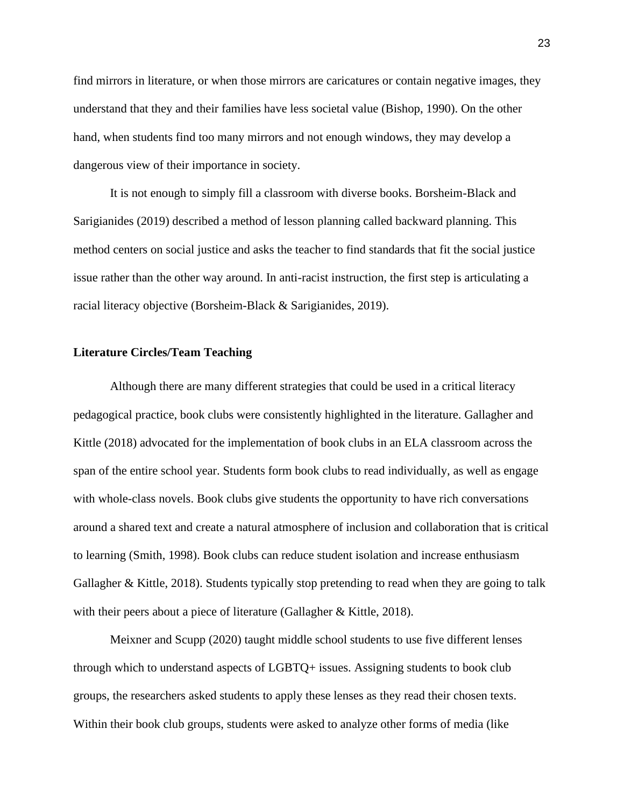find mirrors in literature, or when those mirrors are caricatures or contain negative images, they understand that they and their families have less societal value (Bishop, 1990). On the other hand, when students find too many mirrors and not enough windows, they may develop a dangerous view of their importance in society.

It is not enough to simply fill a classroom with diverse books. Borsheim-Black and Sarigianides (2019) described a method of lesson planning called backward planning. This method centers on social justice and asks the teacher to find standards that fit the social justice issue rather than the other way around. In anti-racist instruction, the first step is articulating a racial literacy objective (Borsheim-Black & Sarigianides, 2019).

#### <span id="page-29-0"></span>**Literature Circles/Team Teaching**

Although there are many different strategies that could be used in a critical literacy pedagogical practice, book clubs were consistently highlighted in the literature. Gallagher and Kittle (2018) advocated for the implementation of book clubs in an ELA classroom across the span of the entire school year. Students form book clubs to read individually, as well as engage with whole-class novels. Book clubs give students the opportunity to have rich conversations around a shared text and create a natural atmosphere of inclusion and collaboration that is critical to learning (Smith, 1998). Book clubs can reduce student isolation and increase enthusiasm Gallagher & Kittle, 2018). Students typically stop pretending to read when they are going to talk with their peers about a piece of literature (Gallagher & Kittle, 2018).

Meixner and Scupp (2020) taught middle school students to use five different lenses through which to understand aspects of LGBTQ+ issues. Assigning students to book club groups, the researchers asked students to apply these lenses as they read their chosen texts. Within their book club groups, students were asked to analyze other forms of media (like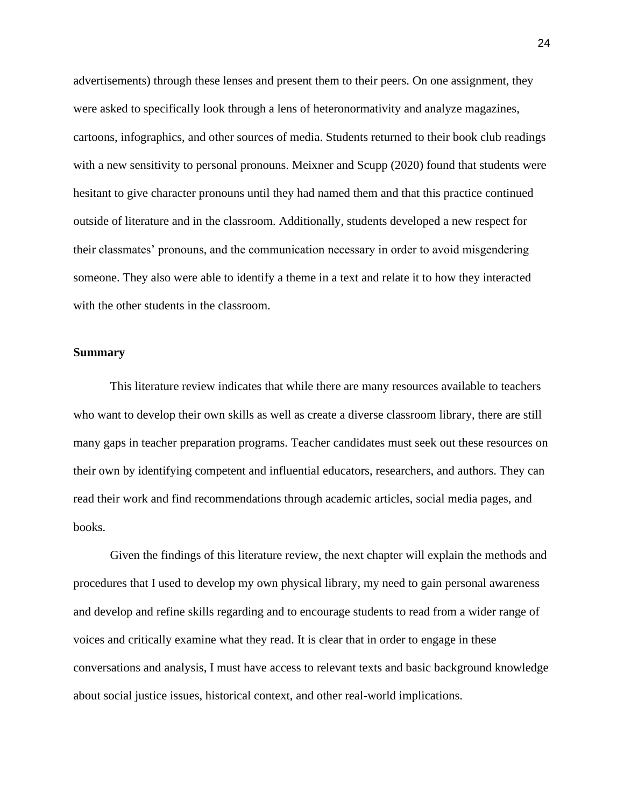advertisements) through these lenses and present them to their peers. On one assignment, they were asked to specifically look through a lens of heteronormativity and analyze magazines, cartoons, infographics, and other sources of media. Students returned to their book club readings with a new sensitivity to personal pronouns. Meixner and Scupp (2020) found that students were hesitant to give character pronouns until they had named them and that this practice continued outside of literature and in the classroom. Additionally, students developed a new respect for their classmates' pronouns, and the communication necessary in order to avoid misgendering someone. They also were able to identify a theme in a text and relate it to how they interacted with the other students in the classroom.

#### <span id="page-30-0"></span>**Summary**

This literature review indicates that while there are many resources available to teachers who want to develop their own skills as well as create a diverse classroom library, there are still many gaps in teacher preparation programs. Teacher candidates must seek out these resources on their own by identifying competent and influential educators, researchers, and authors. They can read their work and find recommendations through academic articles, social media pages, and books.

Given the findings of this literature review, the next chapter will explain the methods and procedures that I used to develop my own physical library, my need to gain personal awareness and develop and refine skills regarding and to encourage students to read from a wider range of voices and critically examine what they read. It is clear that in order to engage in these conversations and analysis, I must have access to relevant texts and basic background knowledge about social justice issues, historical context, and other real-world implications.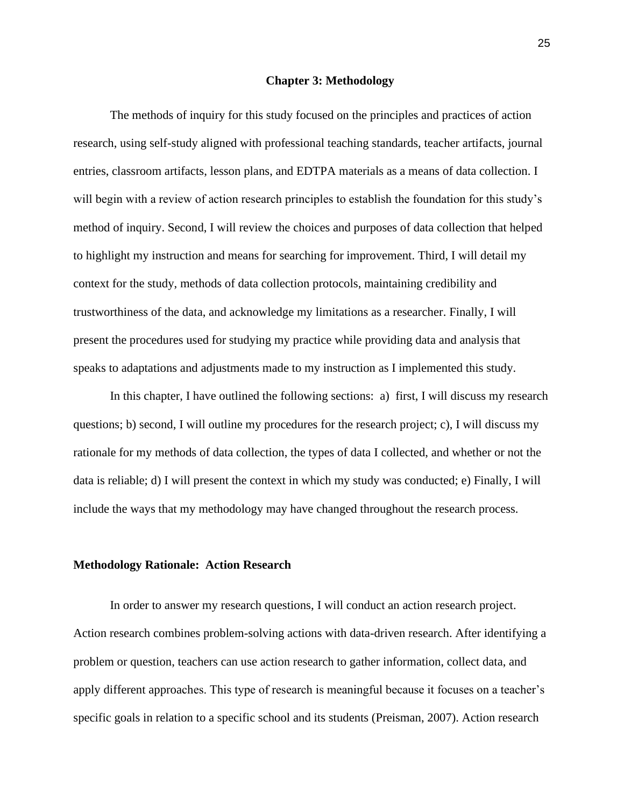#### **Chapter 3: Methodology**

<span id="page-31-0"></span>The methods of inquiry for this study focused on the principles and practices of action research, using self-study aligned with professional teaching standards, teacher artifacts, journal entries, classroom artifacts, lesson plans, and EDTPA materials as a means of data collection. I will begin with a review of action research principles to establish the foundation for this study's method of inquiry. Second, I will review the choices and purposes of data collection that helped to highlight my instruction and means for searching for improvement. Third, I will detail my context for the study, methods of data collection protocols, maintaining credibility and trustworthiness of the data, and acknowledge my limitations as a researcher. Finally, I will present the procedures used for studying my practice while providing data and analysis that speaks to adaptations and adjustments made to my instruction as I implemented this study.

In this chapter, I have outlined the following sections: a) first, I will discuss my research questions; b) second, I will outline my procedures for the research project; c), I will discuss my rationale for my methods of data collection, the types of data I collected, and whether or not the data is reliable; d) I will present the context in which my study was conducted; e) Finally, I will include the ways that my methodology may have changed throughout the research process.

#### **Methodology Rationale: Action Research**

In order to answer my research questions, I will conduct an action research project. Action research combines problem-solving actions with data-driven research. After identifying a problem or question, teachers can use action research to gather information, collect data, and apply different approaches. This type of research is meaningful because it focuses on a teacher's specific goals in relation to a specific school and its students (Preisman, 2007). Action research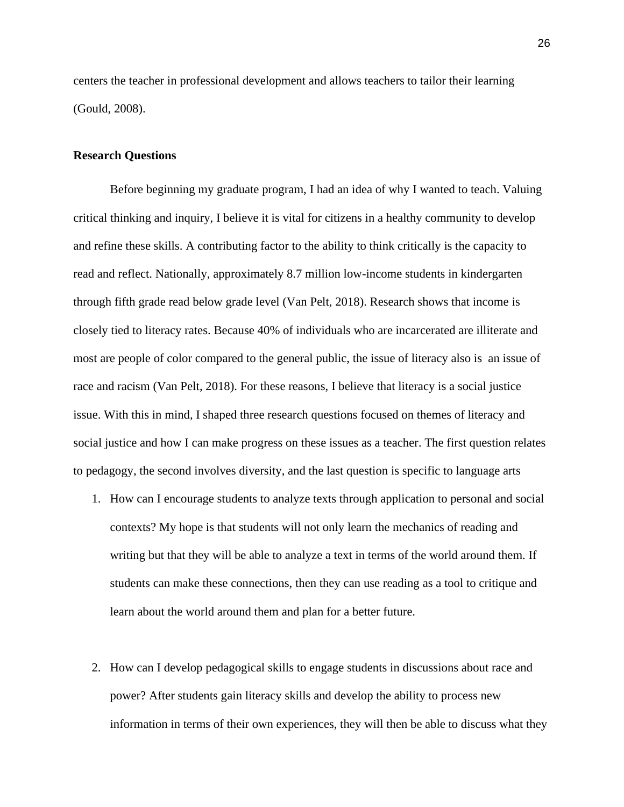centers the teacher in professional development and allows teachers to tailor their learning (Gould, 2008).

#### <span id="page-32-0"></span>**Research Questions**

Before beginning my graduate program, I had an idea of why I wanted to teach. Valuing critical thinking and inquiry, I believe it is vital for citizens in a healthy community to develop and refine these skills. A contributing factor to the ability to think critically is the capacity to read and reflect. Nationally, approximately 8.7 million low-income students in kindergarten through fifth grade read below grade level (Van Pelt, 2018). Research shows that income is closely tied to literacy rates. Because 40% of individuals who are incarcerated are illiterate and most are people of color compared to the general public, the issue of literacy also is an issue of race and racism (Van Pelt, 2018). For these reasons, I believe that literacy is a social justice issue. With this in mind, I shaped three research questions focused on themes of literacy and social justice and how I can make progress on these issues as a teacher. The first question relates to pedagogy, the second involves diversity, and the last question is specific to language arts

- 1. How can I encourage students to analyze texts through application to personal and social contexts? My hope is that students will not only learn the mechanics of reading and writing but that they will be able to analyze a text in terms of the world around them. If students can make these connections, then they can use reading as a tool to critique and learn about the world around them and plan for a better future.
- 2. How can I develop pedagogical skills to engage students in discussions about race and power? After students gain literacy skills and develop the ability to process new information in terms of their own experiences, they will then be able to discuss what they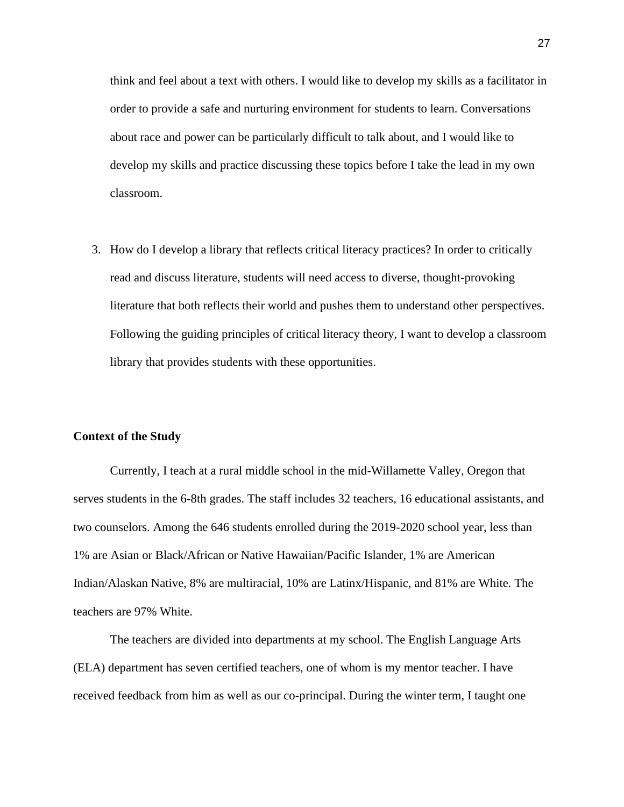think and feel about a text with others. I would like to develop my skills as a facilitator in order to provide a safe and nurturing environment for students to learn. Conversations about race and power can be particularly difficult to talk about, and I would like to develop my skills and practice discussing these topics before I take the lead in my own classroom.

3. How do I develop a library that reflects critical literacy practices? In order to critically read and discuss literature, students will need access to diverse, thought-provoking literature that both reflects their world and pushes them to understand other perspectives. Following the guiding principles of critical literacy theory, I want to develop a classroom library that provides students with these opportunities.

#### <span id="page-33-0"></span>**Context of the Study**

Currently, I teach at a rural middle school in the mid-Willamette Valley, Oregon that serves students in the 6-8th grades. The staff includes 32 teachers, 16 educational assistants, and two counselors. Among the 646 students enrolled during the 2019-2020 school year, less than 1% are Asian or Black/African or Native Hawaiian/Pacific Islander, 1% are American Indian/Alaskan Native, 8% are multiracial, 10% are Latinx/Hispanic, and 81% are White. The teachers are 97% White.

The teachers are divided into departments at my school. The English Language Arts (ELA) department has seven certified teachers, one of whom is my mentor teacher. I have received feedback from him as well as our co-principal. During the winter term, I taught one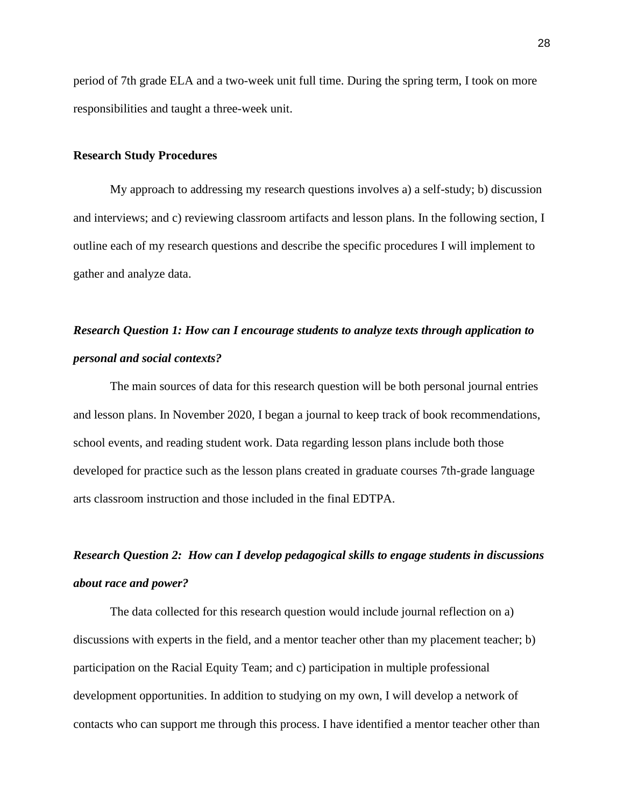period of 7th grade ELA and a two-week unit full time. During the spring term, I took on more responsibilities and taught a three-week unit.

#### <span id="page-34-0"></span>**Research Study Procedures**

My approach to addressing my research questions involves a) a self-study; b) discussion and interviews; and c) reviewing classroom artifacts and lesson plans. In the following section, I outline each of my research questions and describe the specific procedures I will implement to gather and analyze data.

# <span id="page-34-1"></span>*Research Question 1: How can I encourage students to analyze texts through application to personal and social contexts?*

The main sources of data for this research question will be both personal journal entries and lesson plans. In November 2020, I began a journal to keep track of book recommendations, school events, and reading student work. Data regarding lesson plans include both those developed for practice such as the lesson plans created in graduate courses 7th-grade language arts classroom instruction and those included in the final EDTPA.

### <span id="page-34-2"></span>*Research Question 2: How can I develop pedagogical skills to engage students in discussions about race and power?*

The data collected for this research question would include journal reflection on a) discussions with experts in the field, and a mentor teacher other than my placement teacher; b) participation on the Racial Equity Team; and c) participation in multiple professional development opportunities. In addition to studying on my own, I will develop a network of contacts who can support me through this process. I have identified a mentor teacher other than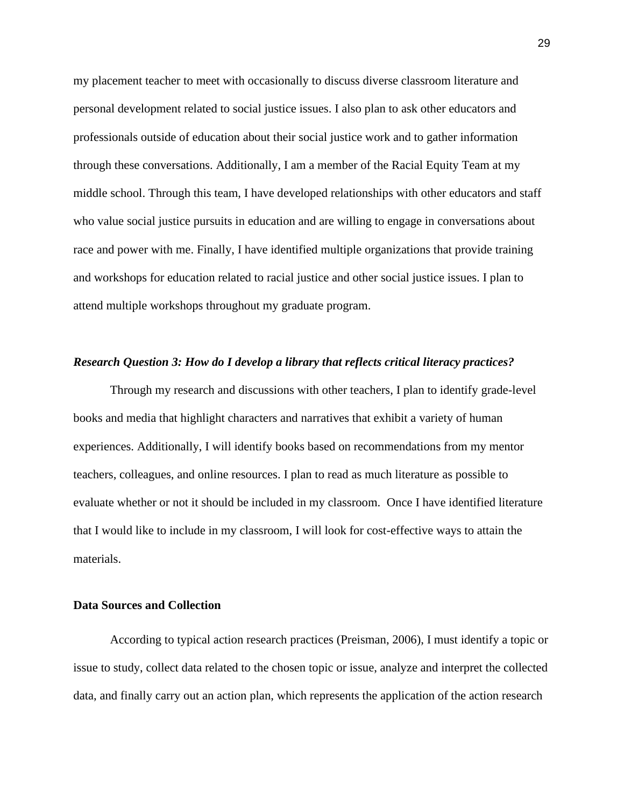my placement teacher to meet with occasionally to discuss diverse classroom literature and personal development related to social justice issues. I also plan to ask other educators and professionals outside of education about their social justice work and to gather information through these conversations. Additionally, I am a member of the Racial Equity Team at my middle school. Through this team, I have developed relationships with other educators and staff who value social justice pursuits in education and are willing to engage in conversations about race and power with me. Finally, I have identified multiple organizations that provide training and workshops for education related to racial justice and other social justice issues. I plan to attend multiple workshops throughout my graduate program.

#### <span id="page-35-0"></span>*Research Question 3: How do I develop a library that reflects critical literacy practices?*

Through my research and discussions with other teachers, I plan to identify grade-level books and media that highlight characters and narratives that exhibit a variety of human experiences. Additionally, I will identify books based on recommendations from my mentor teachers, colleagues, and online resources. I plan to read as much literature as possible to evaluate whether or not it should be included in my classroom. Once I have identified literature that I would like to include in my classroom, I will look for cost-effective ways to attain the materials.

#### <span id="page-35-1"></span>**Data Sources and Collection**

According to typical action research practices (Preisman, 2006), I must identify a topic or issue to study, collect data related to the chosen topic or issue, analyze and interpret the collected data, and finally carry out an action plan, which represents the application of the action research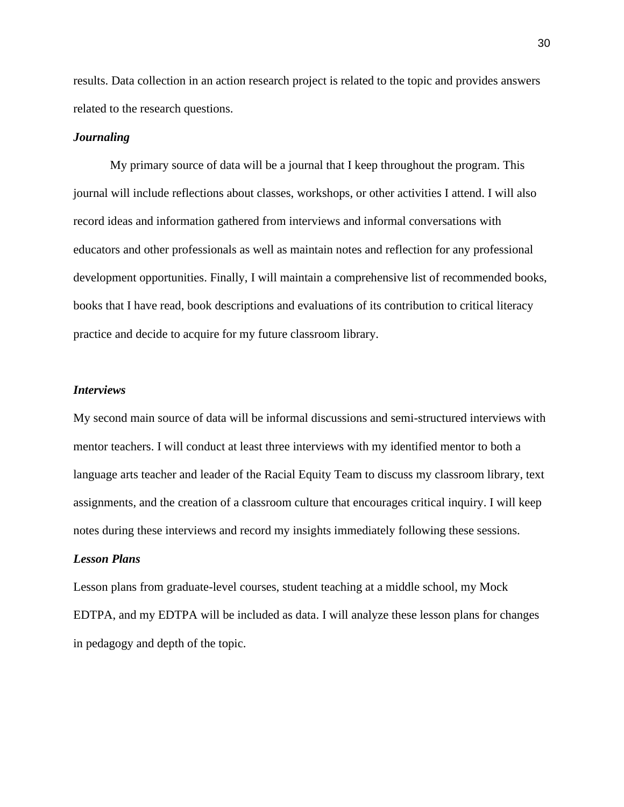results. Data collection in an action research project is related to the topic and provides answers related to the research questions.

#### *Journaling*

My primary source of data will be a journal that I keep throughout the program. This journal will include reflections about classes, workshops, or other activities I attend. I will also record ideas and information gathered from interviews and informal conversations with educators and other professionals as well as maintain notes and reflection for any professional development opportunities. Finally, I will maintain a comprehensive list of recommended books, books that I have read, book descriptions and evaluations of its contribution to critical literacy practice and decide to acquire for my future classroom library.

#### *Interviews*

My second main source of data will be informal discussions and semi-structured interviews with mentor teachers. I will conduct at least three interviews with my identified mentor to both a language arts teacher and leader of the Racial Equity Team to discuss my classroom library, text assignments, and the creation of a classroom culture that encourages critical inquiry. I will keep notes during these interviews and record my insights immediately following these sessions.

# *Lesson Plans*

Lesson plans from graduate-level courses, student teaching at a middle school, my Mock EDTPA, and my EDTPA will be included as data. I will analyze these lesson plans for changes in pedagogy and depth of the topic.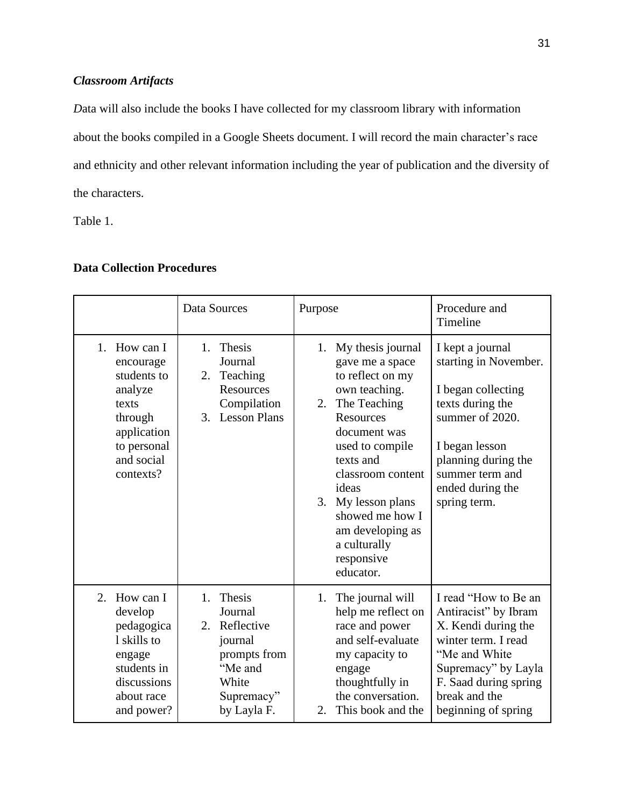# *Classroom Artifacts*

*D*ata will also include the books I have collected for my classroom library with information about the books compiled in a Google Sheets document. I will record the main character's race and ethnicity and other relevant information including the year of publication and the diversity of the characters.

Table 1.

# **Data Collection Procedures**

|                                                                                                                                  | Data Sources                                                                                                            | Purpose                                                                                                                                                                                                                                                                                                     | Procedure and<br>Timeline                                                                                                                                                                              |
|----------------------------------------------------------------------------------------------------------------------------------|-------------------------------------------------------------------------------------------------------------------------|-------------------------------------------------------------------------------------------------------------------------------------------------------------------------------------------------------------------------------------------------------------------------------------------------------------|--------------------------------------------------------------------------------------------------------------------------------------------------------------------------------------------------------|
| 1. How can I<br>encourage<br>students to<br>analyze<br>texts<br>through<br>application<br>to personal<br>and social<br>contexts? | Thesis<br>1.<br>Journal<br>Teaching<br>2.<br>Resources<br>Compilation<br><b>Lesson Plans</b><br>3.                      | My thesis journal<br>1.<br>gave me a space<br>to reflect on my<br>own teaching.<br>The Teaching<br>2.<br>Resources<br>document was<br>used to compile<br>texts and<br>classroom content<br>ideas<br>My lesson plans<br>3.<br>showed me how I<br>am developing as<br>a culturally<br>responsive<br>educator. | I kept a journal<br>starting in November.<br>I began collecting<br>texts during the<br>summer of 2020.<br>I began lesson<br>planning during the<br>summer term and<br>ended during the<br>spring term. |
| How can I<br>2.<br>develop<br>pedagogica<br>1 skills to<br>engage<br>students in<br>discussions<br>about race<br>and power?      | Thesis<br>1.<br>Journal<br>Reflective<br>2.<br>journal<br>prompts from<br>"Me and<br>White<br>Supremacy"<br>by Layla F. | The journal will<br>1.<br>help me reflect on<br>race and power<br>and self-evaluate<br>my capacity to<br>engage<br>thoughtfully in<br>the conversation.<br>This book and the<br>$2_{-}$                                                                                                                     | I read "How to Be an<br>Antiracist" by Ibram<br>X. Kendi during the<br>winter term. I read<br>"Me and White<br>Supremacy" by Layla<br>F. Saad during spring<br>break and the<br>beginning of spring    |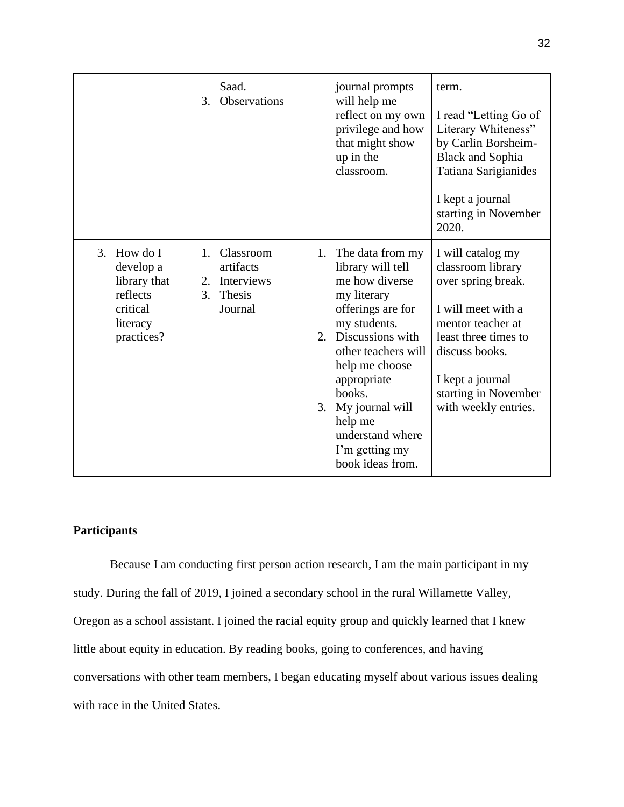|                                                                                               | Saad.<br><b>Observations</b><br>3.                                                      | journal prompts<br>will help me<br>reflect on my own<br>privilege and how<br>that might show<br>up in the<br>classroom.                                                                                                                                                                                  | term.<br>I read "Letting Go of<br>Literary Whiteness"<br>by Carlin Borsheim-<br><b>Black and Sophia</b><br>Tatiana Sarigianides<br>I kept a journal<br>starting in November<br>2020.                                  |
|-----------------------------------------------------------------------------------------------|-----------------------------------------------------------------------------------------|----------------------------------------------------------------------------------------------------------------------------------------------------------------------------------------------------------------------------------------------------------------------------------------------------------|-----------------------------------------------------------------------------------------------------------------------------------------------------------------------------------------------------------------------|
| How do I<br>3.<br>develop a<br>library that<br>reflects<br>critical<br>literacy<br>practices? | Classroom<br>$1_{-}$<br>artifacts<br>Interviews<br>2.<br>3.<br><b>Thesis</b><br>Journal | The data from my<br>1.<br>library will tell<br>me how diverse<br>my literary<br>offerings are for<br>my students.<br>2. Discussions with<br>other teachers will<br>help me choose<br>appropriate<br>books.<br>My journal will<br>3.<br>help me<br>understand where<br>I'm getting my<br>book ideas from. | I will catalog my<br>classroom library<br>over spring break.<br>I will meet with a<br>mentor teacher at<br>least three times to<br>discuss books.<br>I kept a journal<br>starting in November<br>with weekly entries. |

# **Participants**

Because I am conducting first person action research, I am the main participant in my study. During the fall of 2019, I joined a secondary school in the rural Willamette Valley, Oregon as a school assistant. I joined the racial equity group and quickly learned that I knew little about equity in education. By reading books, going to conferences, and having conversations with other team members, I began educating myself about various issues dealing with race in the United States.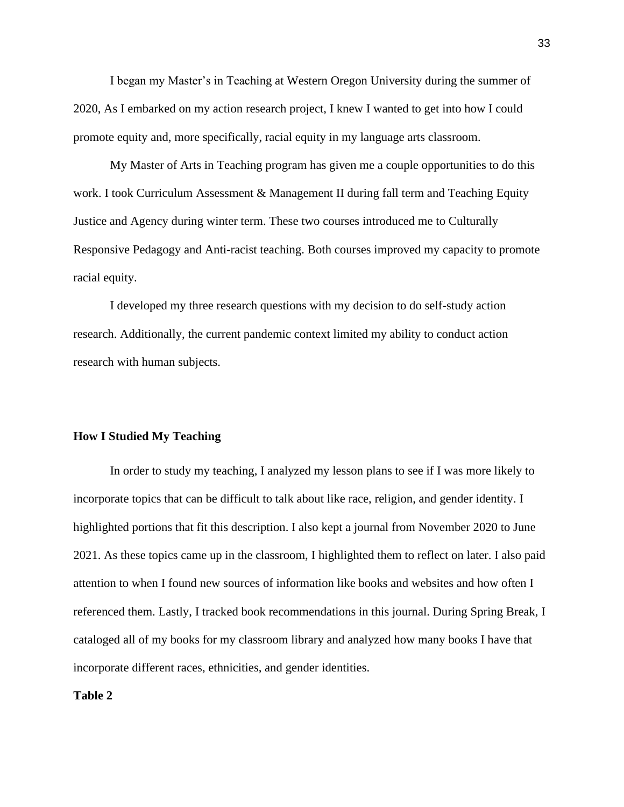I began my Master's in Teaching at Western Oregon University during the summer of 2020, As I embarked on my action research project, I knew I wanted to get into how I could promote equity and, more specifically, racial equity in my language arts classroom.

My Master of Arts in Teaching program has given me a couple opportunities to do this work. I took Curriculum Assessment & Management II during fall term and Teaching Equity Justice and Agency during winter term. These two courses introduced me to Culturally Responsive Pedagogy and Anti-racist teaching. Both courses improved my capacity to promote racial equity.

I developed my three research questions with my decision to do self-study action research. Additionally, the current pandemic context limited my ability to conduct action research with human subjects.

# **How I Studied My Teaching**

In order to study my teaching, I analyzed my lesson plans to see if I was more likely to incorporate topics that can be difficult to talk about like race, religion, and gender identity. I highlighted portions that fit this description. I also kept a journal from November 2020 to June 2021. As these topics came up in the classroom, I highlighted them to reflect on later. I also paid attention to when I found new sources of information like books and websites and how often I referenced them. Lastly, I tracked book recommendations in this journal. During Spring Break, I cataloged all of my books for my classroom library and analyzed how many books I have that incorporate different races, ethnicities, and gender identities.

# **Table 2**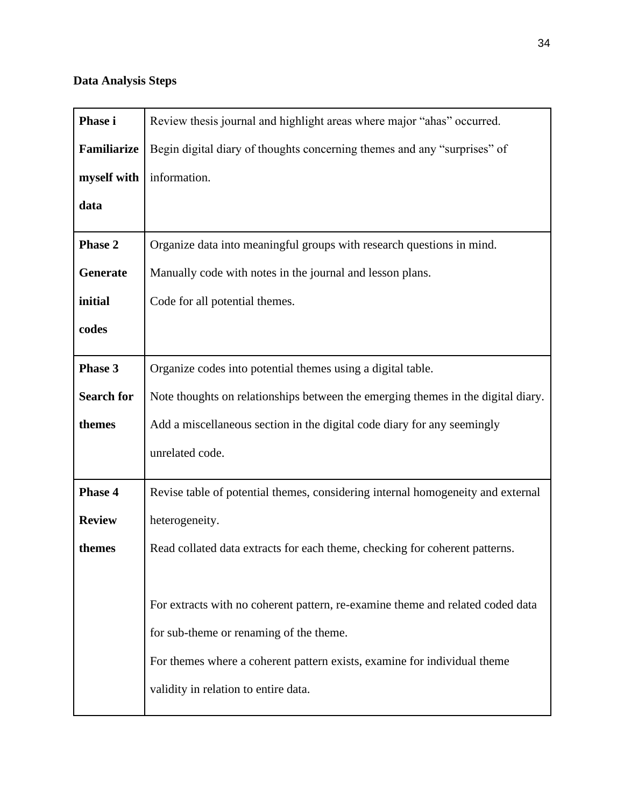# **Data Analysis Steps**

| Phase i            | Review thesis journal and highlight areas where major "ahas" occurred.           |
|--------------------|----------------------------------------------------------------------------------|
| <b>Familiarize</b> | Begin digital diary of thoughts concerning themes and any "surprises" of         |
| myself with        | information.                                                                     |
| data               |                                                                                  |
| Phase 2            | Organize data into meaningful groups with research questions in mind.            |
| Generate           | Manually code with notes in the journal and lesson plans.                        |
| initial            | Code for all potential themes.                                                   |
| codes              |                                                                                  |
| Phase 3            | Organize codes into potential themes using a digital table.                      |
| <b>Search for</b>  | Note thoughts on relationships between the emerging themes in the digital diary. |
| themes             | Add a miscellaneous section in the digital code diary for any seemingly          |
|                    | unrelated code.                                                                  |
| Phase 4            | Revise table of potential themes, considering internal homogeneity and external  |
| <b>Review</b>      | heterogeneity.                                                                   |
| themes             | Read collated data extracts for each theme, checking for coherent patterns.      |
|                    |                                                                                  |
|                    | For extracts with no coherent pattern, re-examine theme and related coded data   |
|                    | for sub-theme or renaming of the theme.                                          |
|                    | For themes where a coherent pattern exists, examine for individual theme         |
|                    | validity in relation to entire data.                                             |
|                    |                                                                                  |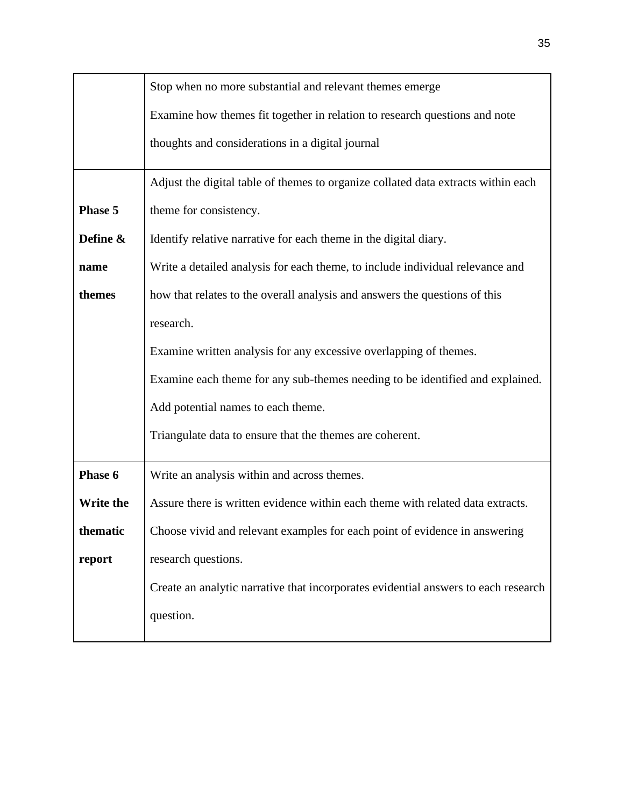|           | Stop when no more substantial and relevant themes emerge                           |  |  |
|-----------|------------------------------------------------------------------------------------|--|--|
|           | Examine how themes fit together in relation to research questions and note         |  |  |
|           | thoughts and considerations in a digital journal                                   |  |  |
|           | Adjust the digital table of themes to organize collated data extracts within each  |  |  |
| Phase 5   | theme for consistency.                                                             |  |  |
| Define &  | Identify relative narrative for each theme in the digital diary.                   |  |  |
| name      | Write a detailed analysis for each theme, to include individual relevance and      |  |  |
| themes    | how that relates to the overall analysis and answers the questions of this         |  |  |
|           | research.                                                                          |  |  |
|           | Examine written analysis for any excessive overlapping of themes.                  |  |  |
|           | Examine each theme for any sub-themes needing to be identified and explained.      |  |  |
|           | Add potential names to each theme.                                                 |  |  |
|           | Triangulate data to ensure that the themes are coherent.                           |  |  |
| Phase 6   | Write an analysis within and across themes.                                        |  |  |
| Write the | Assure there is written evidence within each theme with related data extracts.     |  |  |
| thematic  | Choose vivid and relevant examples for each point of evidence in answering         |  |  |
| report    | research questions.                                                                |  |  |
|           | Create an analytic narrative that incorporates evidential answers to each research |  |  |
|           | question.                                                                          |  |  |
|           |                                                                                    |  |  |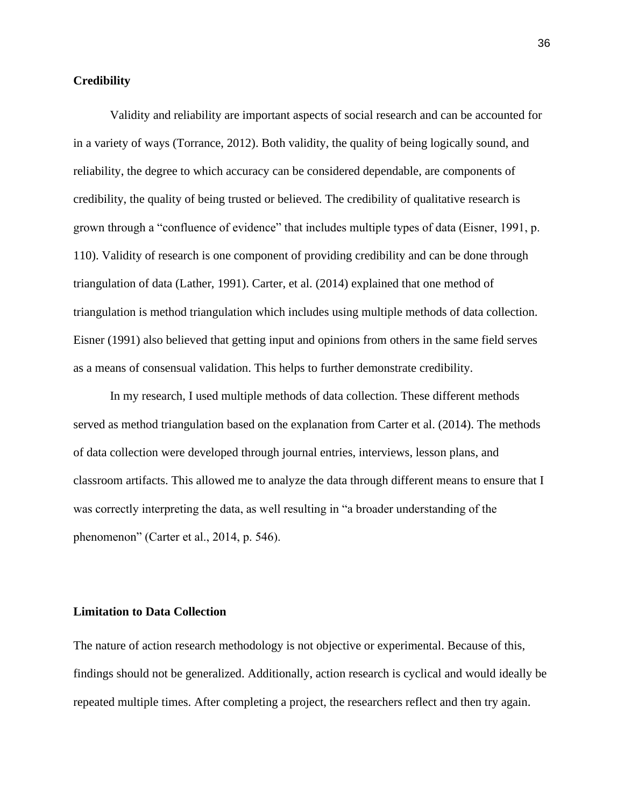# **Credibility**

Validity and reliability are important aspects of social research and can be accounted for in a variety of ways (Torrance, 2012). Both validity, the quality of being logically sound, and reliability, the degree to which accuracy can be considered dependable, are components of credibility, the quality of being trusted or believed. The credibility of qualitative research is grown through a "confluence of evidence" that includes multiple types of data (Eisner, 1991, p. 110). Validity of research is one component of providing credibility and can be done through triangulation of data (Lather, 1991). Carter, et al. (2014) explained that one method of triangulation is method triangulation which includes using multiple methods of data collection. Eisner (1991) also believed that getting input and opinions from others in the same field serves as a means of consensual validation. This helps to further demonstrate credibility.

In my research, I used multiple methods of data collection. These different methods served as method triangulation based on the explanation from Carter et al. (2014). The methods of data collection were developed through journal entries, interviews, lesson plans, and classroom artifacts. This allowed me to analyze the data through different means to ensure that I was correctly interpreting the data, as well resulting in "a broader understanding of the phenomenon" (Carter et al., 2014, p. 546).

# **Limitation to Data Collection**

The nature of action research methodology is not objective or experimental. Because of this, findings should not be generalized. Additionally, action research is cyclical and would ideally be repeated multiple times. After completing a project, the researchers reflect and then try again.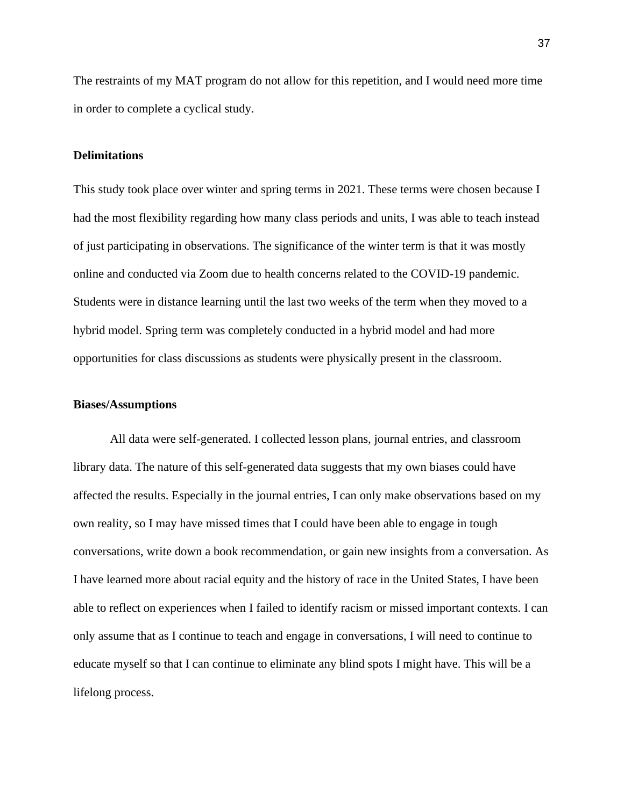The restraints of my MAT program do not allow for this repetition, and I would need more time in order to complete a cyclical study.

#### **Delimitations**

This study took place over winter and spring terms in 2021. These terms were chosen because I had the most flexibility regarding how many class periods and units, I was able to teach instead of just participating in observations. The significance of the winter term is that it was mostly online and conducted via Zoom due to health concerns related to the COVID-19 pandemic. Students were in distance learning until the last two weeks of the term when they moved to a hybrid model. Spring term was completely conducted in a hybrid model and had more opportunities for class discussions as students were physically present in the classroom.

#### **Biases/Assumptions**

All data were self-generated. I collected lesson plans, journal entries, and classroom library data. The nature of this self-generated data suggests that my own biases could have affected the results. Especially in the journal entries, I can only make observations based on my own reality, so I may have missed times that I could have been able to engage in tough conversations, write down a book recommendation, or gain new insights from a conversation. As I have learned more about racial equity and the history of race in the United States, I have been able to reflect on experiences when I failed to identify racism or missed important contexts. I can only assume that as I continue to teach and engage in conversations, I will need to continue to educate myself so that I can continue to eliminate any blind spots I might have. This will be a lifelong process.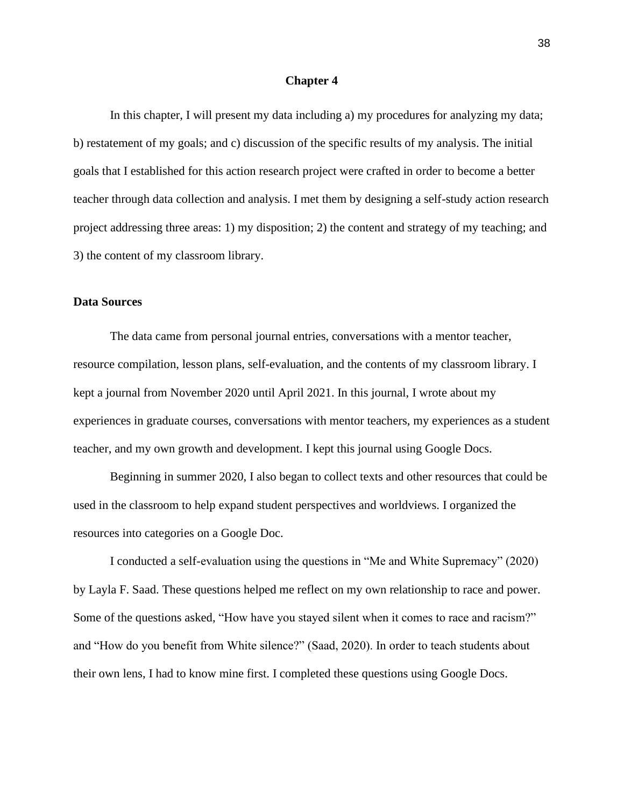#### **Chapter 4**

In this chapter, I will present my data including a) my procedures for analyzing my data; b) restatement of my goals; and c) discussion of the specific results of my analysis. The initial goals that I established for this action research project were crafted in order to become a better teacher through data collection and analysis. I met them by designing a self-study action research project addressing three areas: 1) my disposition; 2) the content and strategy of my teaching; and 3) the content of my classroom library.

# **Data Sources**

The data came from personal journal entries, conversations with a mentor teacher, resource compilation, lesson plans, self-evaluation, and the contents of my classroom library. I kept a journal from November 2020 until April 2021. In this journal, I wrote about my experiences in graduate courses, conversations with mentor teachers, my experiences as a student teacher, and my own growth and development. I kept this journal using Google Docs.

Beginning in summer 2020, I also began to collect texts and other resources that could be used in the classroom to help expand student perspectives and worldviews. I organized the resources into categories on a Google Doc.

I conducted a self-evaluation using the questions in "Me and White Supremacy" (2020) by Layla F. Saad. These questions helped me reflect on my own relationship to race and power. Some of the questions asked, "How have you stayed silent when it comes to race and racism?" and "How do you benefit from White silence?" (Saad, 2020). In order to teach students about their own lens, I had to know mine first. I completed these questions using Google Docs.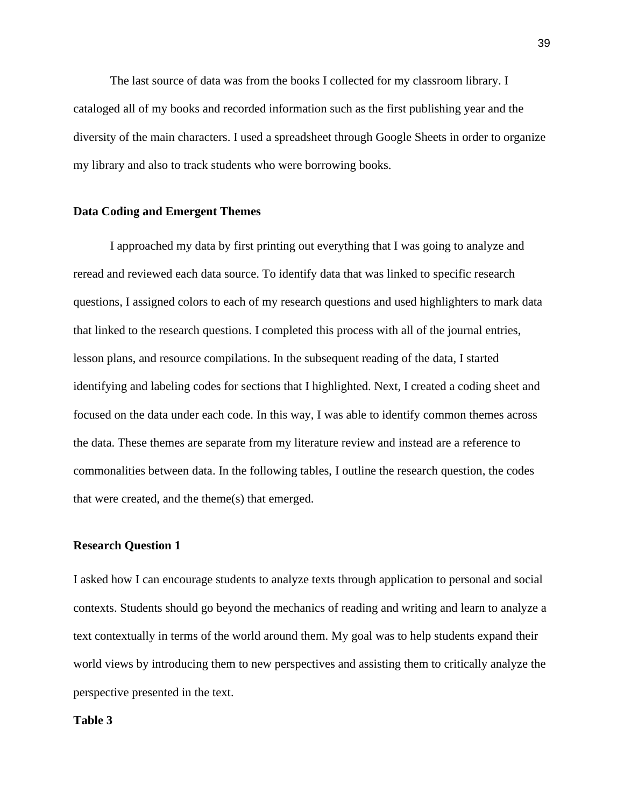The last source of data was from the books I collected for my classroom library. I cataloged all of my books and recorded information such as the first publishing year and the diversity of the main characters. I used a spreadsheet through Google Sheets in order to organize my library and also to track students who were borrowing books.

#### **Data Coding and Emergent Themes**

I approached my data by first printing out everything that I was going to analyze and reread and reviewed each data source. To identify data that was linked to specific research questions, I assigned colors to each of my research questions and used highlighters to mark data that linked to the research questions. I completed this process with all of the journal entries, lesson plans, and resource compilations. In the subsequent reading of the data, I started identifying and labeling codes for sections that I highlighted. Next, I created a coding sheet and focused on the data under each code. In this way, I was able to identify common themes across the data. These themes are separate from my literature review and instead are a reference to commonalities between data. In the following tables, I outline the research question, the codes that were created, and the theme(s) that emerged.

## **Research Question 1**

I asked how I can encourage students to analyze texts through application to personal and social contexts. Students should go beyond the mechanics of reading and writing and learn to analyze a text contextually in terms of the world around them. My goal was to help students expand their world views by introducing them to new perspectives and assisting them to critically analyze the perspective presented in the text.

## **Table 3**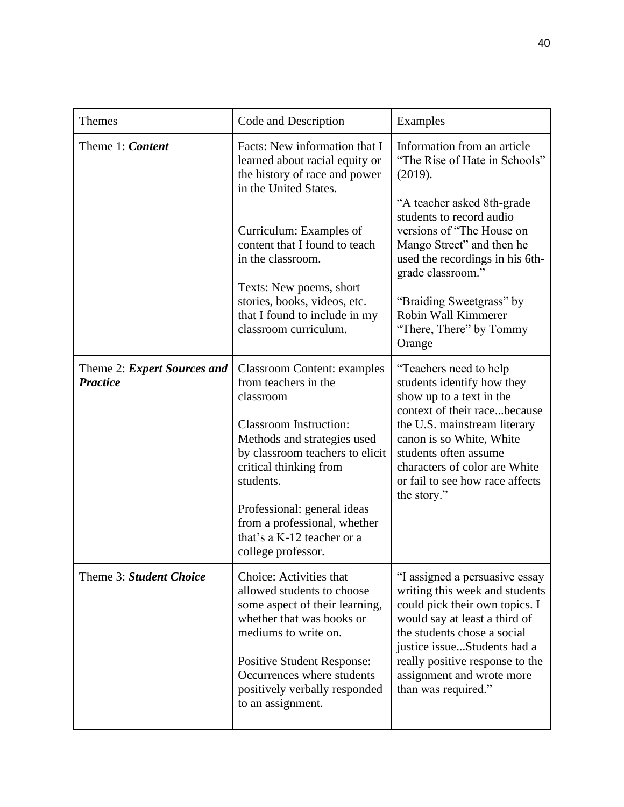| <b>Themes</b>                                  | Code and Description                                                                                                                                                                                                                                                                                                                 | Examples                                                                                                                                                                                                                                                                                 |
|------------------------------------------------|--------------------------------------------------------------------------------------------------------------------------------------------------------------------------------------------------------------------------------------------------------------------------------------------------------------------------------------|------------------------------------------------------------------------------------------------------------------------------------------------------------------------------------------------------------------------------------------------------------------------------------------|
| Theme 1: Content                               | Facts: New information that I<br>learned about racial equity or<br>the history of race and power<br>in the United States.                                                                                                                                                                                                            | Information from an article<br>"The Rise of Hate in Schools"<br>(2019).<br>"A teacher asked 8th-grade<br>students to record audio                                                                                                                                                        |
|                                                | Curriculum: Examples of<br>content that I found to teach<br>in the classroom.<br>Texts: New poems, short                                                                                                                                                                                                                             | versions of "The House on<br>Mango Street" and then he<br>used the recordings in his 6th-<br>grade classroom."                                                                                                                                                                           |
|                                                | stories, books, videos, etc.<br>that I found to include in my<br>classroom curriculum.                                                                                                                                                                                                                                               | "Braiding Sweetgrass" by<br>Robin Wall Kimmerer<br>"There, There" by Tommy<br>Orange                                                                                                                                                                                                     |
| Theme 2: Expert Sources and<br><b>Practice</b> | <b>Classroom Content: examples</b><br>from teachers in the<br>classroom<br><b>Classroom Instruction:</b><br>Methods and strategies used<br>by classroom teachers to elicit<br>critical thinking from<br>students.<br>Professional: general ideas<br>from a professional, whether<br>that's a K-12 teacher or a<br>college professor. | "Teachers need to help<br>students identify how they<br>show up to a text in the<br>context of their racebecause<br>the U.S. mainstream literary<br>canon is so White, White<br>students often assume<br>characters of color are White<br>or fail to see how race affects<br>the story." |
| Theme 3: Student Choice                        | Choice: Activities that<br>allowed students to choose<br>some aspect of their learning,<br>whether that was books or<br>mediums to write on.<br><b>Positive Student Response:</b><br>Occurrences where students<br>positively verbally responded<br>to an assignment.                                                                | "I assigned a persuasive essay<br>writing this week and students<br>could pick their own topics. I<br>would say at least a third of<br>the students chose a social<br>justice issueStudents had a<br>really positive response to the<br>assignment and wrote more<br>than was required." |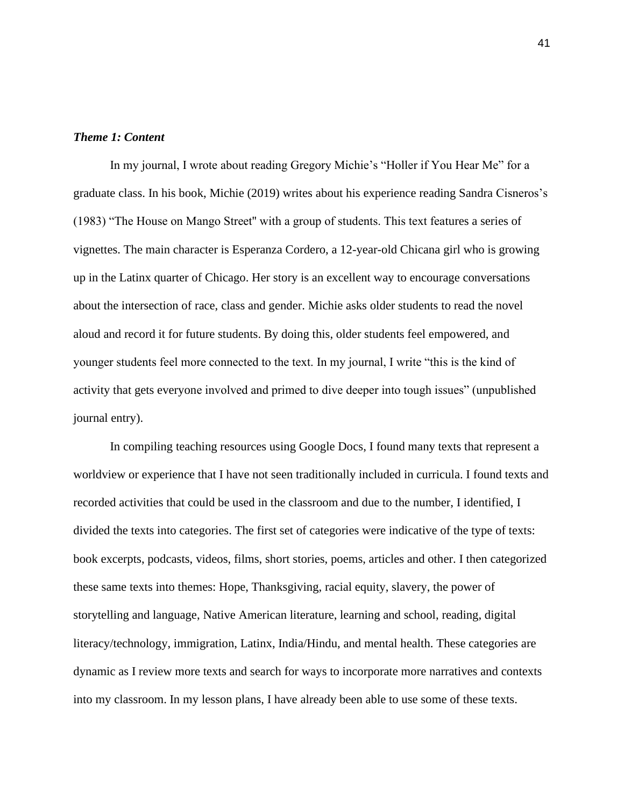### *Theme 1: Content*

In my journal, I wrote about reading Gregory Michie's "Holler if You Hear Me" for a graduate class. In his book, Michie (2019) writes about his experience reading Sandra Cisneros's (1983) "The House on Mango Street'' with a group of students. This text features a series of vignettes. The main character is Esperanza Cordero, a 12-year-old Chicana girl who is growing up in the Latinx quarter of Chicago. Her story is an excellent way to encourage conversations about the intersection of race, class and gender. Michie asks older students to read the novel aloud and record it for future students. By doing this, older students feel empowered, and younger students feel more connected to the text. In my journal, I write "this is the kind of activity that gets everyone involved and primed to dive deeper into tough issues" (unpublished journal entry).

In compiling teaching resources using Google Docs, I found many texts that represent a worldview or experience that I have not seen traditionally included in curricula. I found texts and recorded activities that could be used in the classroom and due to the number, I identified, I divided the texts into categories. The first set of categories were indicative of the type of texts: book excerpts, podcasts, videos, films, short stories, poems, articles and other. I then categorized these same texts into themes: Hope, Thanksgiving, racial equity, slavery, the power of storytelling and language, Native American literature, learning and school, reading, digital literacy/technology, immigration, Latinx, India/Hindu, and mental health. These categories are dynamic as I review more texts and search for ways to incorporate more narratives and contexts into my classroom. In my lesson plans, I have already been able to use some of these texts.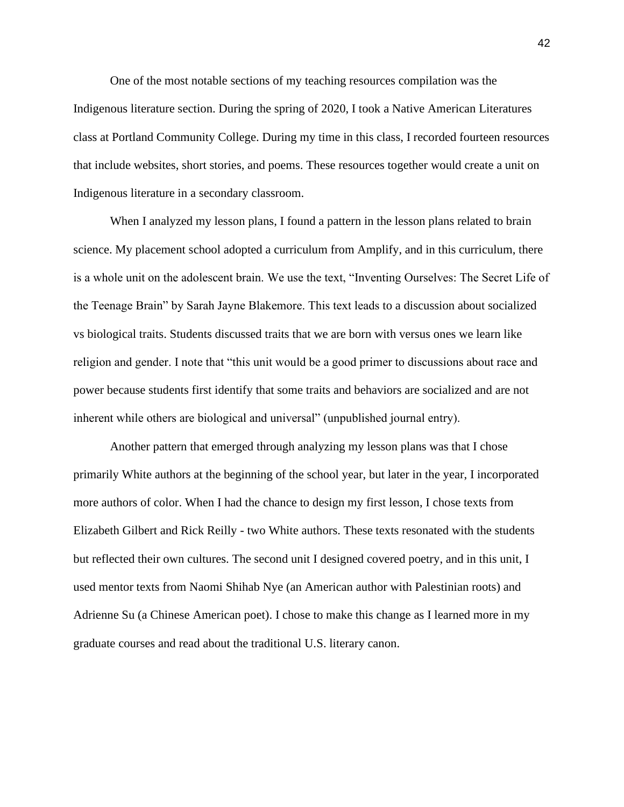One of the most notable sections of my teaching resources compilation was the Indigenous literature section. During the spring of 2020, I took a Native American Literatures class at Portland Community College. During my time in this class, I recorded fourteen resources that include websites, short stories, and poems. These resources together would create a unit on Indigenous literature in a secondary classroom.

When I analyzed my lesson plans, I found a pattern in the lesson plans related to brain science. My placement school adopted a curriculum from Amplify, and in this curriculum, there is a whole unit on the adolescent brain. We use the text, "Inventing Ourselves: The Secret Life of the Teenage Brain" by Sarah Jayne Blakemore. This text leads to a discussion about socialized vs biological traits. Students discussed traits that we are born with versus ones we learn like religion and gender. I note that "this unit would be a good primer to discussions about race and power because students first identify that some traits and behaviors are socialized and are not inherent while others are biological and universal" (unpublished journal entry).

Another pattern that emerged through analyzing my lesson plans was that I chose primarily White authors at the beginning of the school year, but later in the year, I incorporated more authors of color. When I had the chance to design my first lesson, I chose texts from Elizabeth Gilbert and Rick Reilly - two White authors. These texts resonated with the students but reflected their own cultures. The second unit I designed covered poetry, and in this unit, I used mentor texts from Naomi Shihab Nye (an American author with Palestinian roots) and Adrienne Su (a Chinese American poet). I chose to make this change as I learned more in my graduate courses and read about the traditional U.S. literary canon.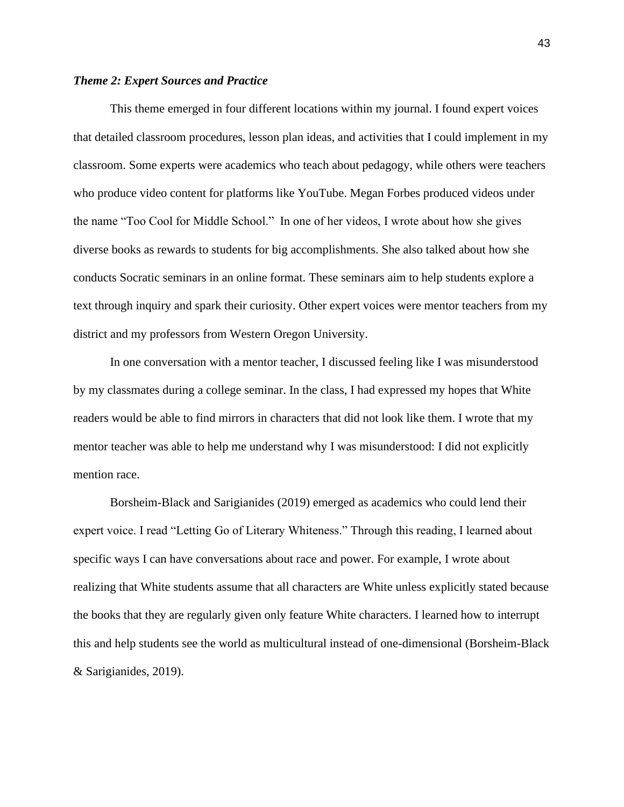#### *Theme 2: Expert Sources and Practice*

This theme emerged in four different locations within my journal. I found expert voices that detailed classroom procedures, lesson plan ideas, and activities that I could implement in my classroom. Some experts were academics who teach about pedagogy, while others were teachers who produce video content for platforms like YouTube. Megan Forbes produced videos under the name "Too Cool for Middle School." In one of her videos, I wrote about how she gives diverse books as rewards to students for big accomplishments. She also talked about how she conducts Socratic seminars in an online format. These seminars aim to help students explore a text through inquiry and spark their curiosity. Other expert voices were mentor teachers from my district and my professors from Western Oregon University.

In one conversation with a mentor teacher, I discussed feeling like I was misunderstood by my classmates during a college seminar. In the class, I had expressed my hopes that White readers would be able to find mirrors in characters that did not look like them. I wrote that my mentor teacher was able to help me understand why I was misunderstood: I did not explicitly mention race.

Borsheim-Black and Sarigianides (2019) emerged as academics who could lend their expert voice. I read "Letting Go of Literary Whiteness." Through this reading, I learned about specific ways I can have conversations about race and power. For example, I wrote about realizing that White students assume that all characters are White unless explicitly stated because the books that they are regularly given only feature White characters. I learned how to interrupt this and help students see the world as multicultural instead of one-dimensional (Borsheim-Black & Sarigianides, 2019).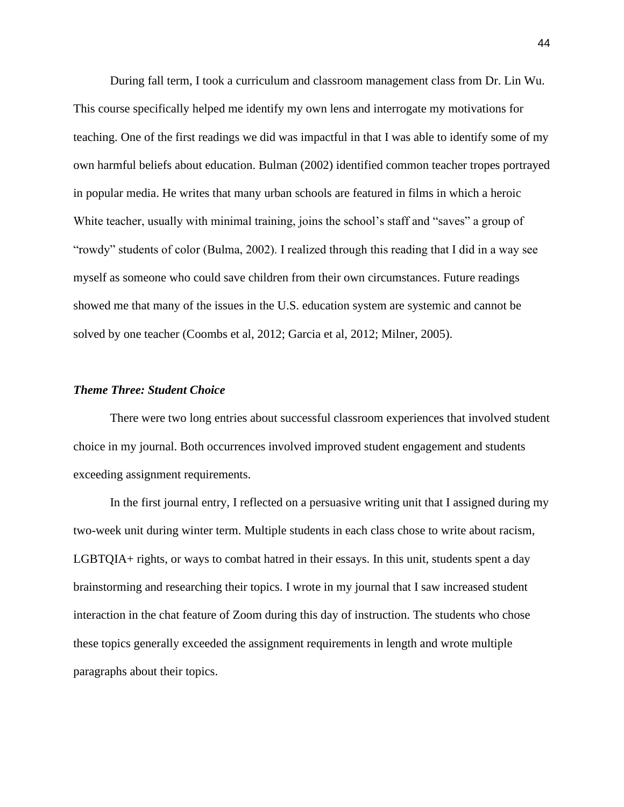During fall term, I took a curriculum and classroom management class from Dr. Lin Wu. This course specifically helped me identify my own lens and interrogate my motivations for teaching. One of the first readings we did was impactful in that I was able to identify some of my own harmful beliefs about education. Bulman (2002) identified common teacher tropes portrayed in popular media. He writes that many urban schools are featured in films in which a heroic White teacher, usually with minimal training, joins the school's staff and "saves" a group of "rowdy" students of color (Bulma, 2002). I realized through this reading that I did in a way see myself as someone who could save children from their own circumstances. Future readings showed me that many of the issues in the U.S. education system are systemic and cannot be solved by one teacher (Coombs et al, 2012; Garcia et al, 2012; Milner, 2005).

## *Theme Three: Student Choice*

There were two long entries about successful classroom experiences that involved student choice in my journal. Both occurrences involved improved student engagement and students exceeding assignment requirements.

In the first journal entry, I reflected on a persuasive writing unit that I assigned during my two-week unit during winter term. Multiple students in each class chose to write about racism, LGBTQIA+ rights, or ways to combat hatred in their essays. In this unit, students spent a day brainstorming and researching their topics. I wrote in my journal that I saw increased student interaction in the chat feature of Zoom during this day of instruction. The students who chose these topics generally exceeded the assignment requirements in length and wrote multiple paragraphs about their topics.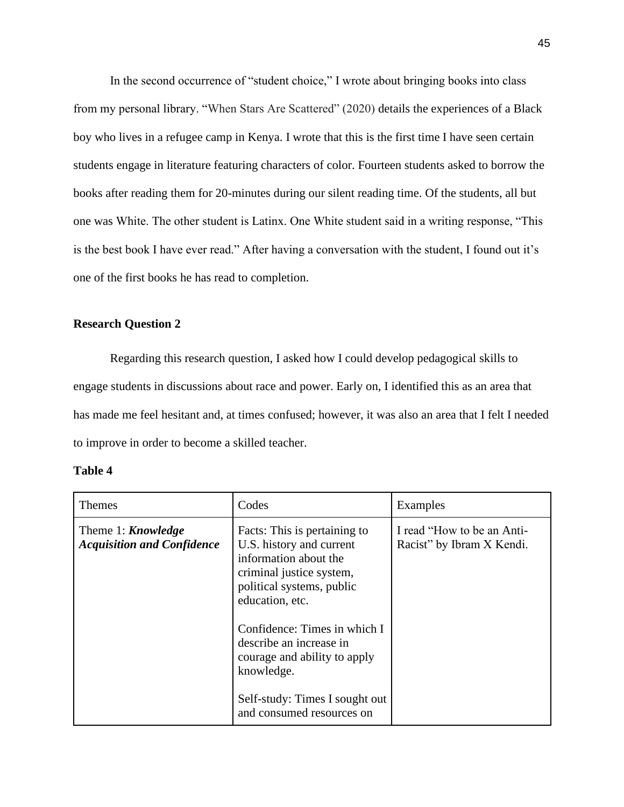In the second occurrence of "student choice," I wrote about bringing books into class from my personal library. "When Stars Are Scattered" (2020) details the experiences of a Black boy who lives in a refugee camp in Kenya. I wrote that this is the first time I have seen certain students engage in literature featuring characters of color. Fourteen students asked to borrow the books after reading them for 20-minutes during our silent reading time. Of the students, all but one was White. The other student is Latinx. One White student said in a writing response, "This is the best book I have ever read." After having a conversation with the student, I found out it's one of the first books he has read to completion.

# **Research Question 2**

Regarding this research question, I asked how I could develop pedagogical skills to engage students in discussions about race and power. Early on, I identified this as an area that has made me feel hesitant and, at times confused; however, it was also an area that I felt I needed to improve in order to become a skilled teacher.

| m<br>п<br>. . |  |
|---------------|--|
|---------------|--|

| <b>Themes</b>                                                  | Codes                                                                                                                                                                | Examples                                                |
|----------------------------------------------------------------|----------------------------------------------------------------------------------------------------------------------------------------------------------------------|---------------------------------------------------------|
| Theme 1: <b>Knowledge</b><br><b>Acquisition and Confidence</b> | Facts: This is pertaining to<br>U.S. history and current<br>information about the<br>criminal justice system,<br>political systems, public<br>education, etc.        | I read "How to be an Anti-<br>Racist" by Ibram X Kendi. |
|                                                                | Confidence: Times in which I<br>describe an increase in<br>courage and ability to apply<br>knowledge.<br>Self-study: Times I sought out<br>and consumed resources on |                                                         |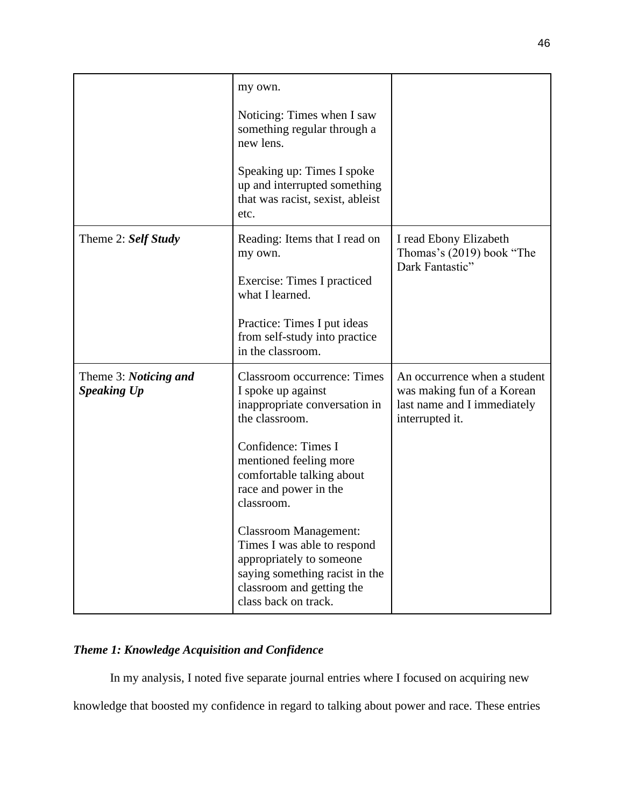|                                             | my own.                                                                                                                                                                        |                                                                                                              |
|---------------------------------------------|--------------------------------------------------------------------------------------------------------------------------------------------------------------------------------|--------------------------------------------------------------------------------------------------------------|
|                                             | Noticing: Times when I saw<br>something regular through a<br>new lens.                                                                                                         |                                                                                                              |
|                                             | Speaking up: Times I spoke<br>up and interrupted something<br>that was racist, sexist, ableist<br>etc.                                                                         |                                                                                                              |
| Theme 2: Self Study                         | Reading: Items that I read on<br>my own.                                                                                                                                       | I read Ebony Elizabeth<br>Thomas's (2019) book "The<br>Dark Fantastic"                                       |
|                                             | Exercise: Times I practiced<br>what I learned.                                                                                                                                 |                                                                                                              |
|                                             | Practice: Times I put ideas<br>from self-study into practice<br>in the classroom.                                                                                              |                                                                                                              |
| Theme 3: Noticing and<br><b>Speaking Up</b> | <b>Classroom occurrence: Times</b><br>I spoke up against<br>inappropriate conversation in<br>the classroom.                                                                    | An occurrence when a student<br>was making fun of a Korean<br>last name and I immediately<br>interrupted it. |
|                                             | Confidence: Times I<br>mentioned feeling more<br>comfortable talking about<br>race and power in the<br>classroom.                                                              |                                                                                                              |
|                                             | <b>Classroom Management:</b><br>Times I was able to respond<br>appropriately to someone<br>saying something racist in the<br>classroom and getting the<br>class back on track. |                                                                                                              |

# *Theme 1: Knowledge Acquisition and Confidence*

In my analysis, I noted five separate journal entries where I focused on acquiring new

knowledge that boosted my confidence in regard to talking about power and race. These entries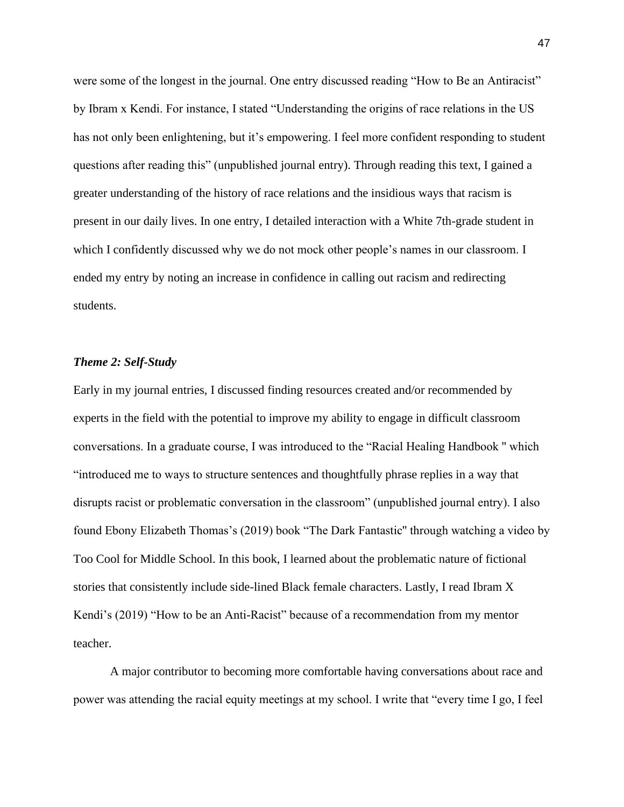were some of the longest in the journal. One entry discussed reading "How to Be an Antiracist" by Ibram x Kendi. For instance, I stated "Understanding the origins of race relations in the US has not only been enlightening, but it's empowering. I feel more confident responding to student questions after reading this" (unpublished journal entry). Through reading this text, I gained a greater understanding of the history of race relations and the insidious ways that racism is present in our daily lives. In one entry, I detailed interaction with a White 7th-grade student in which I confidently discussed why we do not mock other people's names in our classroom. I ended my entry by noting an increase in confidence in calling out racism and redirecting students.

## *Theme 2: Self-Study*

Early in my journal entries, I discussed finding resources created and/or recommended by experts in the field with the potential to improve my ability to engage in difficult classroom conversations. In a graduate course, I was introduced to the "Racial Healing Handbook '' which "introduced me to ways to structure sentences and thoughtfully phrase replies in a way that disrupts racist or problematic conversation in the classroom" (unpublished journal entry). I also found Ebony Elizabeth Thomas's (2019) book "The Dark Fantastic'' through watching a video by Too Cool for Middle School. In this book, I learned about the problematic nature of fictional stories that consistently include side-lined Black female characters. Lastly, I read Ibram X Kendi's (2019) "How to be an Anti-Racist" because of a recommendation from my mentor teacher.

A major contributor to becoming more comfortable having conversations about race and power was attending the racial equity meetings at my school. I write that "every time I go, I feel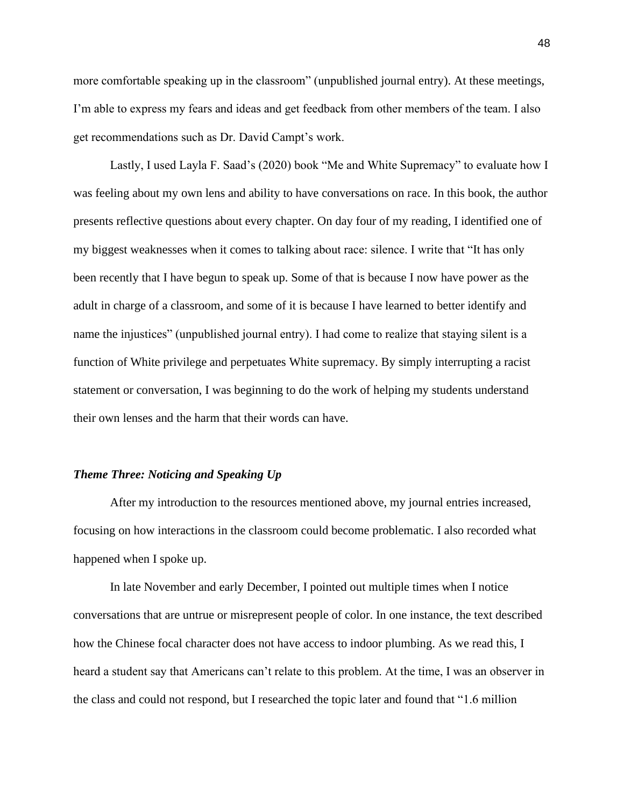more comfortable speaking up in the classroom" (unpublished journal entry). At these meetings, I'm able to express my fears and ideas and get feedback from other members of the team. I also get recommendations such as Dr. David Campt's work.

Lastly, I used Layla F. Saad's (2020) book "Me and White Supremacy" to evaluate how I was feeling about my own lens and ability to have conversations on race. In this book, the author presents reflective questions about every chapter. On day four of my reading, I identified one of my biggest weaknesses when it comes to talking about race: silence. I write that "It has only been recently that I have begun to speak up. Some of that is because I now have power as the adult in charge of a classroom, and some of it is because I have learned to better identify and name the injustices" (unpublished journal entry). I had come to realize that staying silent is a function of White privilege and perpetuates White supremacy. By simply interrupting a racist statement or conversation, I was beginning to do the work of helping my students understand their own lenses and the harm that their words can have.

#### *Theme Three: Noticing and Speaking Up*

After my introduction to the resources mentioned above, my journal entries increased, focusing on how interactions in the classroom could become problematic. I also recorded what happened when I spoke up.

In late November and early December, I pointed out multiple times when I notice conversations that are untrue or misrepresent people of color. In one instance, the text described how the Chinese focal character does not have access to indoor plumbing. As we read this, I heard a student say that Americans can't relate to this problem. At the time, I was an observer in the class and could not respond, but I researched the topic later and found that "1.6 million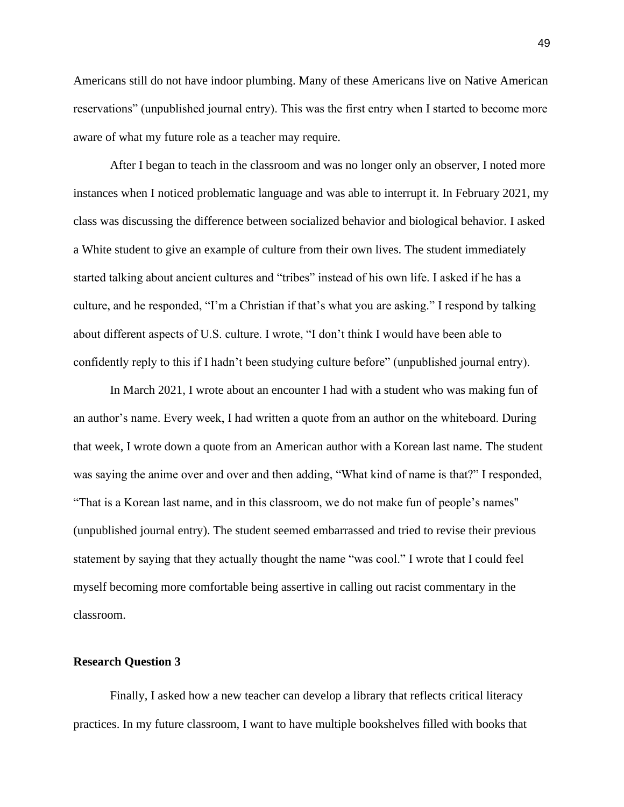Americans still do not have indoor plumbing. Many of these Americans live on Native American reservations" (unpublished journal entry). This was the first entry when I started to become more aware of what my future role as a teacher may require.

After I began to teach in the classroom and was no longer only an observer, I noted more instances when I noticed problematic language and was able to interrupt it. In February 2021, my class was discussing the difference between socialized behavior and biological behavior. I asked a White student to give an example of culture from their own lives. The student immediately started talking about ancient cultures and "tribes" instead of his own life. I asked if he has a culture, and he responded, "I'm a Christian if that's what you are asking." I respond by talking about different aspects of U.S. culture. I wrote, "I don't think I would have been able to confidently reply to this if I hadn't been studying culture before" (unpublished journal entry).

In March 2021, I wrote about an encounter I had with a student who was making fun of an author's name. Every week, I had written a quote from an author on the whiteboard. During that week, I wrote down a quote from an American author with a Korean last name. The student was saying the anime over and over and then adding, "What kind of name is that?" I responded, "That is a Korean last name, and in this classroom, we do not make fun of people's names'' (unpublished journal entry). The student seemed embarrassed and tried to revise their previous statement by saying that they actually thought the name "was cool." I wrote that I could feel myself becoming more comfortable being assertive in calling out racist commentary in the classroom.

#### **Research Question 3**

Finally, I asked how a new teacher can develop a library that reflects critical literacy practices. In my future classroom, I want to have multiple bookshelves filled with books that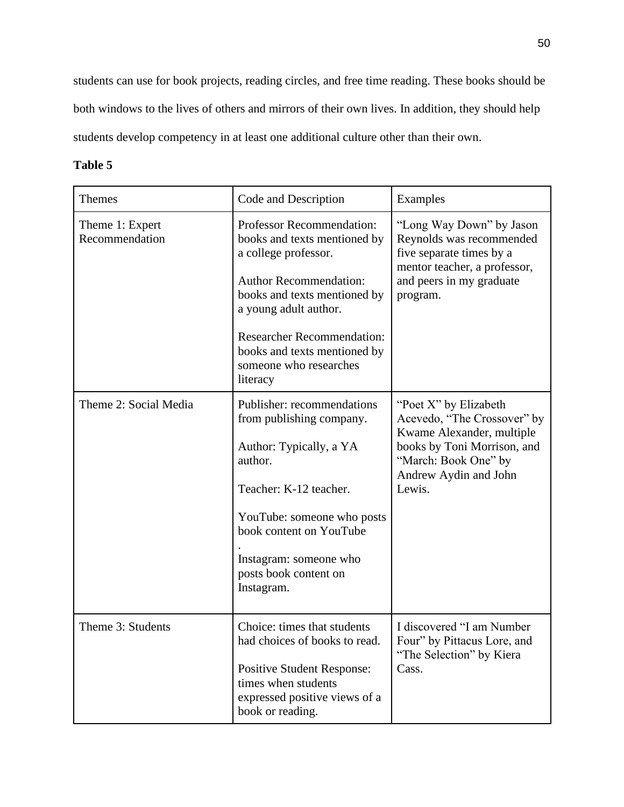students can use for book projects, reading circles, and free time reading. These books should be both windows to the lives of others and mirrors of their own lives. In addition, they should help students develop competency in at least one additional culture other than their own.

# **Table 5**

| Themes                            | Code and Description                                                                                                                                                                                                                                                                          | Examples                                                                                                                                                                    |
|-----------------------------------|-----------------------------------------------------------------------------------------------------------------------------------------------------------------------------------------------------------------------------------------------------------------------------------------------|-----------------------------------------------------------------------------------------------------------------------------------------------------------------------------|
| Theme 1: Expert<br>Recommendation | <b>Professor Recommendation:</b><br>books and texts mentioned by<br>a college professor.<br><b>Author Recommendation:</b><br>books and texts mentioned by<br>a young adult author.<br><b>Researcher Recommendation:</b><br>books and texts mentioned by<br>someone who researches<br>literacy | "Long Way Down" by Jason<br>Reynolds was recommended<br>five separate times by a<br>mentor teacher, a professor,<br>and peers in my graduate<br>program.                    |
| Theme 2: Social Media             | Publisher: recommendations<br>from publishing company.<br>Author: Typically, a YA<br>author.<br>Teacher: K-12 teacher.<br>YouTube: someone who posts<br>book content on YouTube<br>Instagram: someone who<br>posts book content on<br>Instagram.                                              | "Poet X" by Elizabeth<br>Acevedo, "The Crossover" by<br>Kwame Alexander, multiple<br>books by Toni Morrison, and<br>"March: Book One" by<br>Andrew Aydin and John<br>Lewis. |
| Theme 3: Students                 | Choice: times that students<br>had choices of books to read.<br><b>Positive Student Response:</b><br>times when students<br>expressed positive views of a<br>book or reading.                                                                                                                 | I discovered "I am Number<br>Four" by Pittacus Lore, and<br>"The Selection" by Kiera<br>Cass.                                                                               |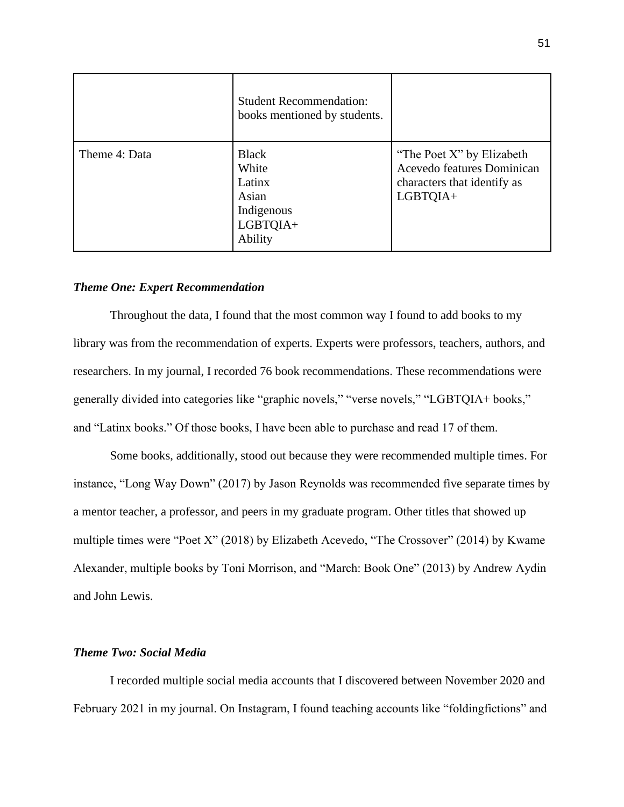|               | <b>Student Recommendation:</b><br>books mentioned by students.                |                                                                                                    |
|---------------|-------------------------------------------------------------------------------|----------------------------------------------------------------------------------------------------|
| Theme 4: Data | <b>Black</b><br>White<br>Latinx<br>Asian<br>Indigenous<br>LGBTQIA+<br>Ability | "The Poet X" by Elizabeth<br>Acevedo features Dominican<br>characters that identify as<br>LGBTQIA+ |

# *Theme One: Expert Recommendation*

Throughout the data, I found that the most common way I found to add books to my library was from the recommendation of experts. Experts were professors, teachers, authors, and researchers. In my journal, I recorded 76 book recommendations. These recommendations were generally divided into categories like "graphic novels," "verse novels," "LGBTQIA+ books," and "Latinx books." Of those books, I have been able to purchase and read 17 of them.

Some books, additionally, stood out because they were recommended multiple times. For instance, "Long Way Down" (2017) by Jason Reynolds was recommended five separate times by a mentor teacher, a professor, and peers in my graduate program. Other titles that showed up multiple times were "Poet X" (2018) by Elizabeth Acevedo, "The Crossover" (2014) by Kwame Alexander, multiple books by Toni Morrison, and "March: Book One" (2013) by Andrew Aydin and John Lewis.

# *Theme Two: Social Media*

I recorded multiple social media accounts that I discovered between November 2020 and February 2021 in my journal. On Instagram, I found teaching accounts like "foldingfictions" and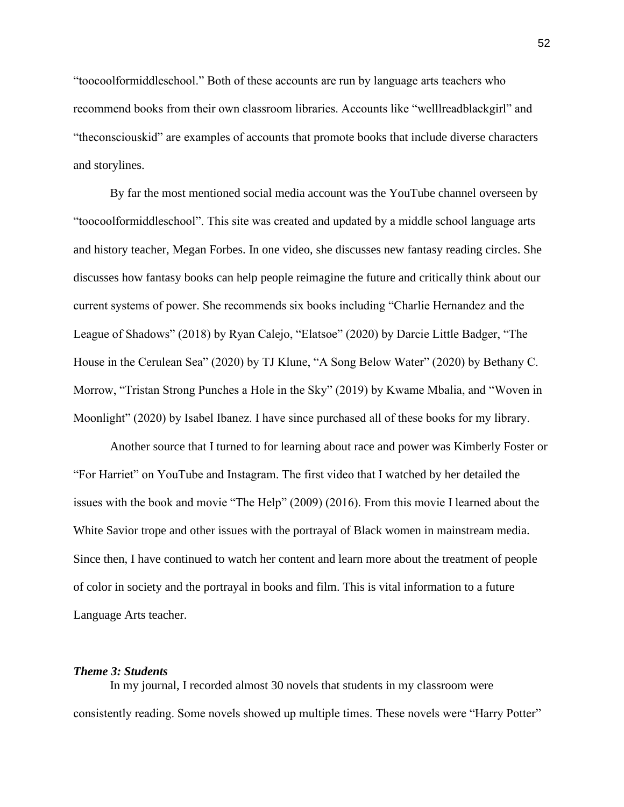"toocoolformiddleschool." Both of these accounts are run by language arts teachers who recommend books from their own classroom libraries. Accounts like "welllreadblackgirl" and "theconsciouskid" are examples of accounts that promote books that include diverse characters and storylines.

By far the most mentioned social media account was the YouTube channel overseen by "toocoolformiddleschool". This site was created and updated by a middle school language arts and history teacher, Megan Forbes. In one video, she discusses new fantasy reading circles. She discusses how fantasy books can help people reimagine the future and critically think about our current systems of power. She recommends six books including "Charlie Hernandez and the League of Shadows" (2018) by Ryan Calejo, "Elatsoe" (2020) by Darcie Little Badger, "The House in the Cerulean Sea" (2020) by TJ Klune, "A Song Below Water" (2020) by Bethany C. Morrow, "Tristan Strong Punches a Hole in the Sky" (2019) by Kwame Mbalia, and "Woven in Moonlight" (2020) by Isabel Ibanez. I have since purchased all of these books for my library.

Another source that I turned to for learning about race and power was Kimberly Foster or "For Harriet" on YouTube and Instagram. The first video that I watched by her detailed the issues with the book and movie "The Help" (2009) (2016). From this movie I learned about the White Savior trope and other issues with the portrayal of Black women in mainstream media. Since then, I have continued to watch her content and learn more about the treatment of people of color in society and the portrayal in books and film. This is vital information to a future Language Arts teacher.

#### *Theme 3: Students*

In my journal, I recorded almost 30 novels that students in my classroom were consistently reading. Some novels showed up multiple times. These novels were "Harry Potter"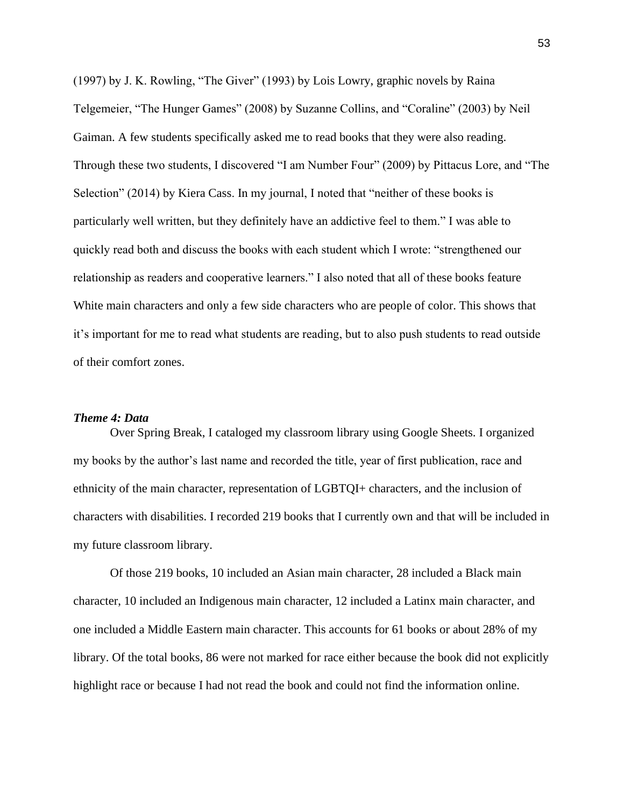(1997) by J. K. Rowling, "The Giver" (1993) by Lois Lowry, graphic novels by Raina Telgemeier, "The Hunger Games" (2008) by Suzanne Collins, and "Coraline" (2003) by Neil Gaiman. A few students specifically asked me to read books that they were also reading. Through these two students, I discovered "I am Number Four" (2009) by Pittacus Lore, and "The Selection" (2014) by [Kiera Cass.](https://www.google.com/search?rlz=1C5CHFA_enUS923US923&q=Kiera+Cass&stick=H4sIAAAAAAAAAONgVuLSz9U3yMpKKchKecRoyi3w8sc9YSmdSWtOXmNU4-IKzsgvd80rySypFJLgYoOy-KR4uJC08Sxi5fLOTC1KVHBOLC4GAOFjvWlTAAAA) In my journal, I noted that "neither of these books is particularly well written, but they definitely have an addictive feel to them." I was able to quickly read both and discuss the books with each student which I wrote: "strengthened our relationship as readers and cooperative learners." I also noted that all of these books feature White main characters and only a few side characters who are people of color. This shows that it's important for me to read what students are reading, but to also push students to read outside of their comfort zones.

#### *Theme 4: Data*

Over Spring Break, I cataloged my classroom library using Google Sheets. I organized my books by the author's last name and recorded the title, year of first publication, race and ethnicity of the main character, representation of LGBTQI+ characters, and the inclusion of characters with disabilities. I recorded 219 books that I currently own and that will be included in my future classroom library.

Of those 219 books, 10 included an Asian main character, 28 included a Black main character, 10 included an Indigenous main character, 12 included a Latinx main character, and one included a Middle Eastern main character. This accounts for 61 books or about 28% of my library. Of the total books, 86 were not marked for race either because the book did not explicitly highlight race or because I had not read the book and could not find the information online.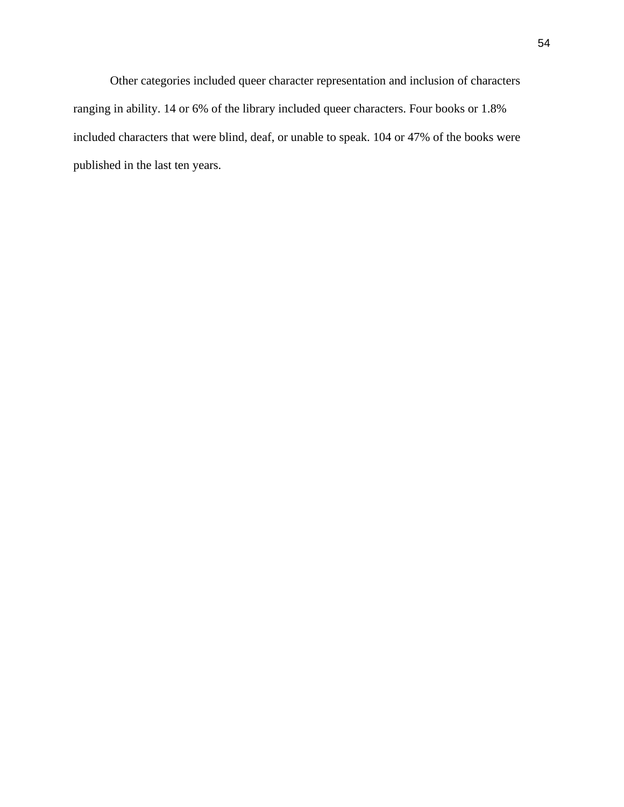Other categories included queer character representation and inclusion of characters ranging in ability. 14 or 6% of the library included queer characters. Four books or 1.8% included characters that were blind, deaf, or unable to speak. 104 or 47% of the books were published in the last ten years.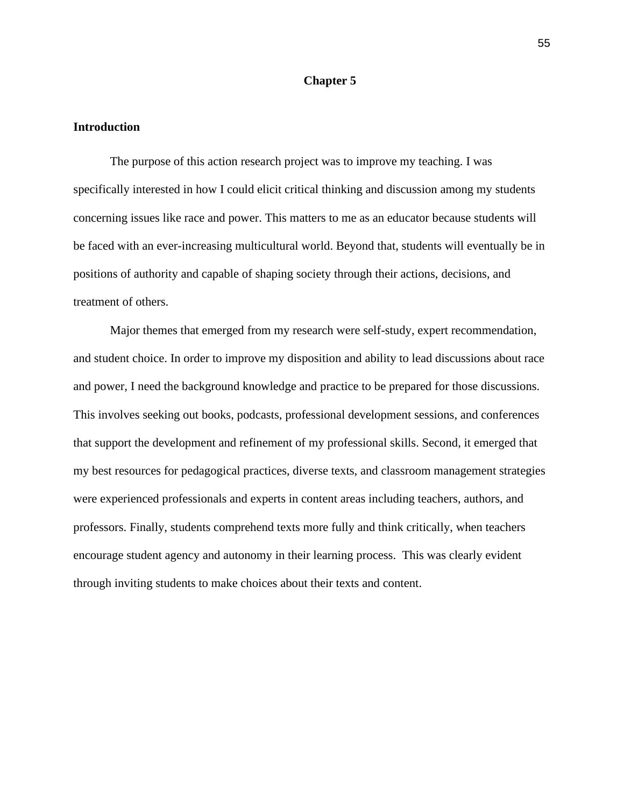#### **Chapter 5**

#### **Introduction**

The purpose of this action research project was to improve my teaching. I was specifically interested in how I could elicit critical thinking and discussion among my students concerning issues like race and power. This matters to me as an educator because students will be faced with an ever-increasing multicultural world. Beyond that, students will eventually be in positions of authority and capable of shaping society through their actions, decisions, and treatment of others.

Major themes that emerged from my research were self-study, expert recommendation, and student choice. In order to improve my disposition and ability to lead discussions about race and power, I need the background knowledge and practice to be prepared for those discussions. This involves seeking out books, podcasts, professional development sessions, and conferences that support the development and refinement of my professional skills. Second, it emerged that my best resources for pedagogical practices, diverse texts, and classroom management strategies were experienced professionals and experts in content areas including teachers, authors, and professors. Finally, students comprehend texts more fully and think critically, when teachers encourage student agency and autonomy in their learning process. This was clearly evident through inviting students to make choices about their texts and content.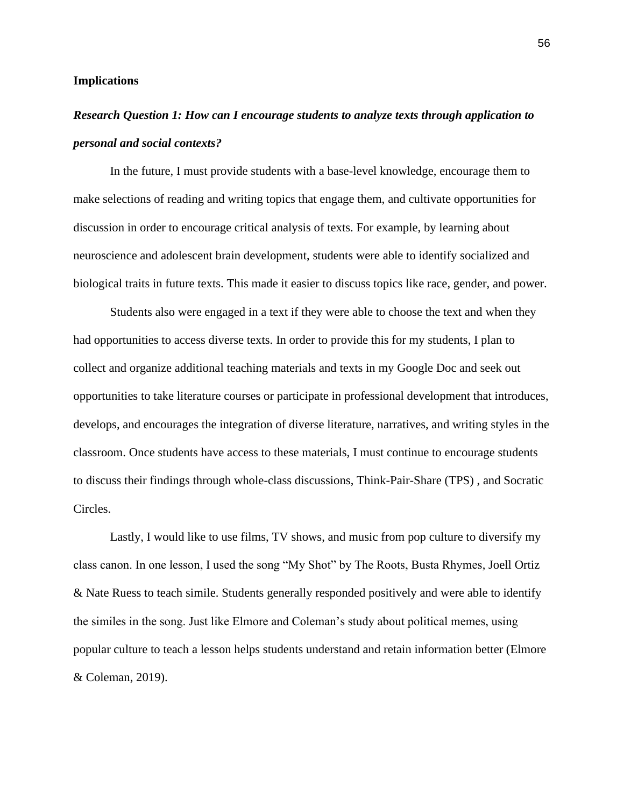#### **Implications**

# *Research Question 1: How can I encourage students to analyze texts through application to personal and social contexts?*

In the future, I must provide students with a base-level knowledge, encourage them to make selections of reading and writing topics that engage them, and cultivate opportunities for discussion in order to encourage critical analysis of texts. For example, by learning about neuroscience and adolescent brain development, students were able to identify socialized and biological traits in future texts. This made it easier to discuss topics like race, gender, and power.

Students also were engaged in a text if they were able to choose the text and when they had opportunities to access diverse texts. In order to provide this for my students, I plan to collect and organize additional teaching materials and texts in my Google Doc and seek out opportunities to take literature courses or participate in professional development that introduces, develops, and encourages the integration of diverse literature, narratives, and writing styles in the classroom. Once students have access to these materials, I must continue to encourage students to discuss their findings through whole-class discussions, Think-Pair-Share (TPS) , and Socratic Circles.

Lastly, I would like to use films, TV shows, and music from pop culture to diversify my class canon. In one lesson, I used the song "My Shot" by The Roots, Busta Rhymes, Joell Ortiz & Nate Ruess to teach simile. Students generally responded positively and were able to identify the similes in the song. Just like Elmore and Coleman's study about political memes, using popular culture to teach a lesson helps students understand and retain information better (Elmore & Coleman, 2019).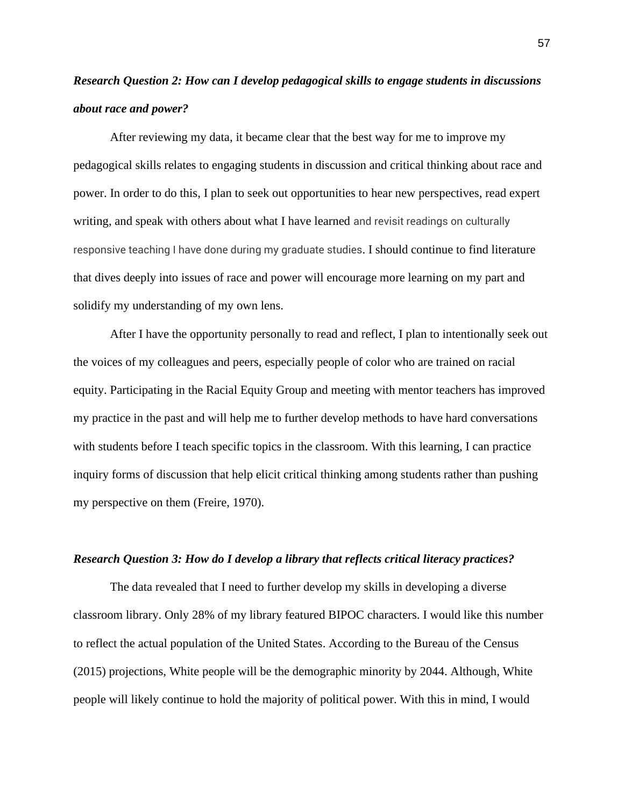# *Research Question 2: How can I develop pedagogical skills to engage students in discussions about race and power?*

After reviewing my data, it became clear that the best way for me to improve my pedagogical skills relates to engaging students in discussion and critical thinking about race and power. In order to do this, I plan to seek out opportunities to hear new perspectives, read expert writing, and speak with others about what I have learned and revisit readings on culturally responsive teaching I have done during my graduate studies. I should continue to find literature that dives deeply into issues of race and power will encourage more learning on my part and solidify my understanding of my own lens.

After I have the opportunity personally to read and reflect, I plan to intentionally seek out the voices of my colleagues and peers, especially people of color who are trained on racial equity. Participating in the Racial Equity Group and meeting with mentor teachers has improved my practice in the past and will help me to further develop methods to have hard conversations with students before I teach specific topics in the classroom. With this learning, I can practice inquiry forms of discussion that help elicit critical thinking among students rather than pushing my perspective on them (Freire, 1970).

# *Research Question 3: How do I develop a library that reflects critical literacy practices?*

The data revealed that I need to further develop my skills in developing a diverse classroom library. Only 28% of my library featured BIPOC characters. I would like this number to reflect the actual population of the United States. According to the Bureau of the Census (2015) projections, White people will be the demographic minority by 2044. Although, White people will likely continue to hold the majority of political power. With this in mind, I would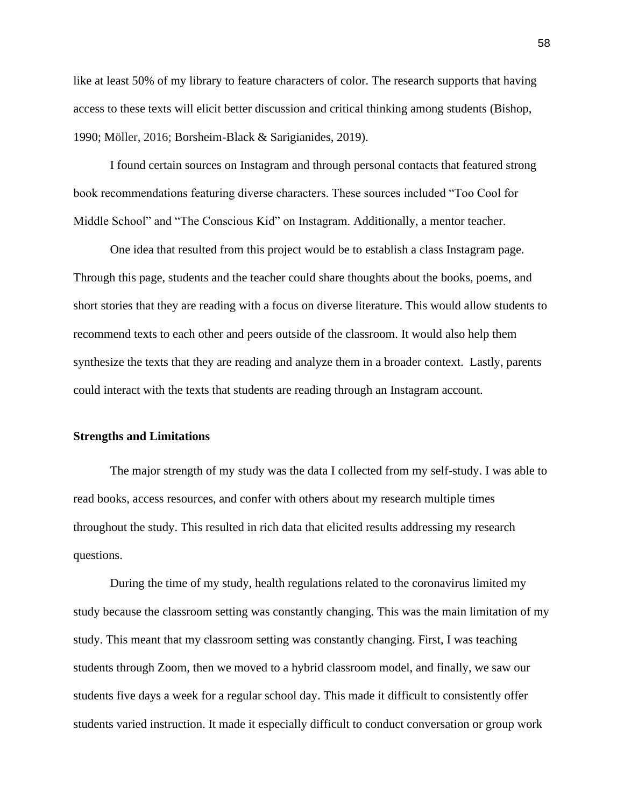like at least 50% of my library to feature characters of color. The research supports that having access to these texts will elicit better discussion and critical thinking among students (Bishop, 1990; Möller, 2016; Borsheim-Black & Sarigianides, 2019).

I found certain sources on Instagram and through personal contacts that featured strong book recommendations featuring diverse characters. These sources included "Too Cool for Middle School" and "The Conscious Kid" on Instagram. Additionally, a mentor teacher.

One idea that resulted from this project would be to establish a class Instagram page. Through this page, students and the teacher could share thoughts about the books, poems, and short stories that they are reading with a focus on diverse literature. This would allow students to recommend texts to each other and peers outside of the classroom. It would also help them synthesize the texts that they are reading and analyze them in a broader context. Lastly, parents could interact with the texts that students are reading through an Instagram account.

# **Strengths and Limitations**

The major strength of my study was the data I collected from my self-study. I was able to read books, access resources, and confer with others about my research multiple times throughout the study. This resulted in rich data that elicited results addressing my research questions.

During the time of my study, health regulations related to the coronavirus limited my study because the classroom setting was constantly changing. This was the main limitation of my study. This meant that my classroom setting was constantly changing. First, I was teaching students through Zoom, then we moved to a hybrid classroom model, and finally, we saw our students five days a week for a regular school day. This made it difficult to consistently offer students varied instruction. It made it especially difficult to conduct conversation or group work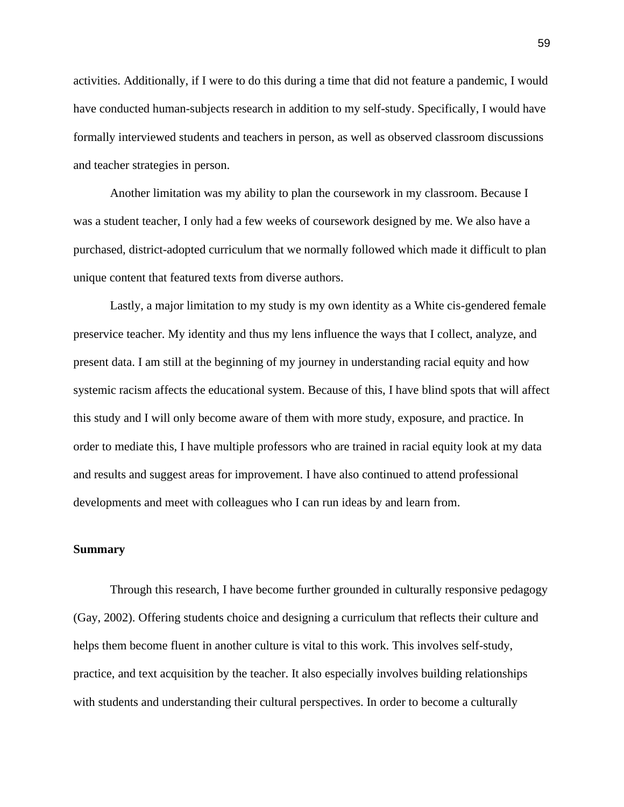activities. Additionally, if I were to do this during a time that did not feature a pandemic, I would have conducted human-subjects research in addition to my self-study. Specifically, I would have formally interviewed students and teachers in person, as well as observed classroom discussions and teacher strategies in person.

Another limitation was my ability to plan the coursework in my classroom. Because I was a student teacher, I only had a few weeks of coursework designed by me. We also have a purchased, district-adopted curriculum that we normally followed which made it difficult to plan unique content that featured texts from diverse authors.

Lastly, a major limitation to my study is my own identity as a White cis-gendered female preservice teacher. My identity and thus my lens influence the ways that I collect, analyze, and present data. I am still at the beginning of my journey in understanding racial equity and how systemic racism affects the educational system. Because of this, I have blind spots that will affect this study and I will only become aware of them with more study, exposure, and practice. In order to mediate this, I have multiple professors who are trained in racial equity look at my data and results and suggest areas for improvement. I have also continued to attend professional developments and meet with colleagues who I can run ideas by and learn from.

#### **Summary**

Through this research, I have become further grounded in culturally responsive pedagogy (Gay, 2002). Offering students choice and designing a curriculum that reflects their culture and helps them become fluent in another culture is vital to this work. This involves self-study, practice, and text acquisition by the teacher. It also especially involves building relationships with students and understanding their cultural perspectives. In order to become a culturally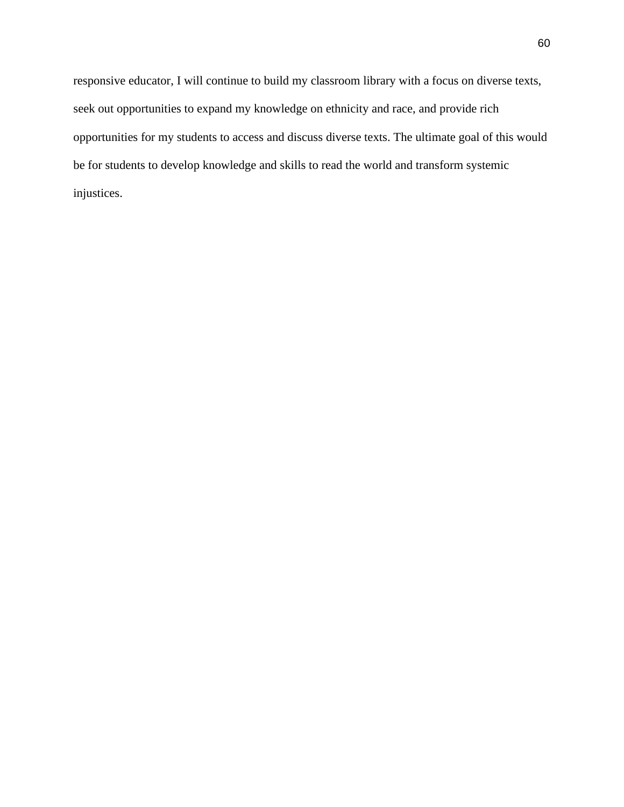responsive educator, I will continue to build my classroom library with a focus on diverse texts, seek out opportunities to expand my knowledge on ethnicity and race, and provide rich opportunities for my students to access and discuss diverse texts. The ultimate goal of this would be for students to develop knowledge and skills to read the world and transform systemic injustices.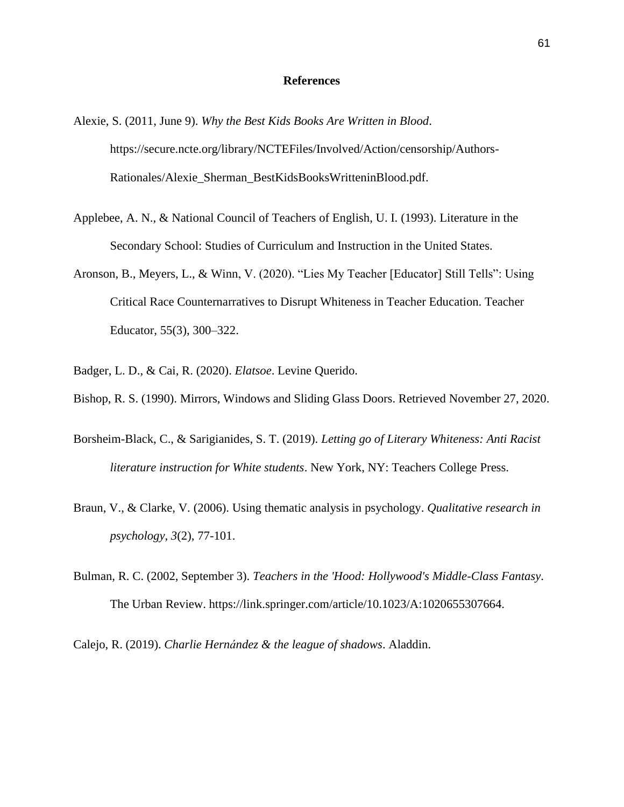#### **References**

- Alexie, S. (2011, June 9). *Why the Best Kids Books Are Written in Blood*. https://secure.ncte.org/library/NCTEFiles/Involved/Action/censorship/Authors-Rationales/Alexie\_Sherman\_BestKidsBooksWritteninBlood.pdf.
- Applebee, A. N., & National Council of Teachers of English, U. I. (1993). Literature in the Secondary School: Studies of Curriculum and Instruction in the United States.
- Aronson, B., Meyers, L., & Winn, V. (2020). "Lies My Teacher [Educator] Still Tells": Using Critical Race Counternarratives to Disrupt Whiteness in Teacher Education. Teacher Educator, 55(3), 300–322.
- Badger, L. D., & Cai, R. (2020). *Elatsoe*. Levine Querido.
- Bishop, R. S. (1990). Mirrors, Windows and Sliding Glass Doors. Retrieved November 27, 2020.
- Borsheim-Black, C., & Sarigianides, S. T. (2019). *Letting go of Literary Whiteness: Anti Racist literature instruction for White students*. New York, NY: Teachers College Press.
- Braun, V., & Clarke, V. (2006). Using thematic analysis in psychology. *Qualitative research in psychology*, *3*(2), 77-101.
- Bulman, R. C. (2002, September 3). *Teachers in the 'Hood: Hollywood's Middle-Class Fantasy*. The Urban Review. https://link.springer.com/article/10.1023/A:1020655307664.
- Calejo, R. (2019). *Charlie Hernández & the league of shadows*. Aladdin.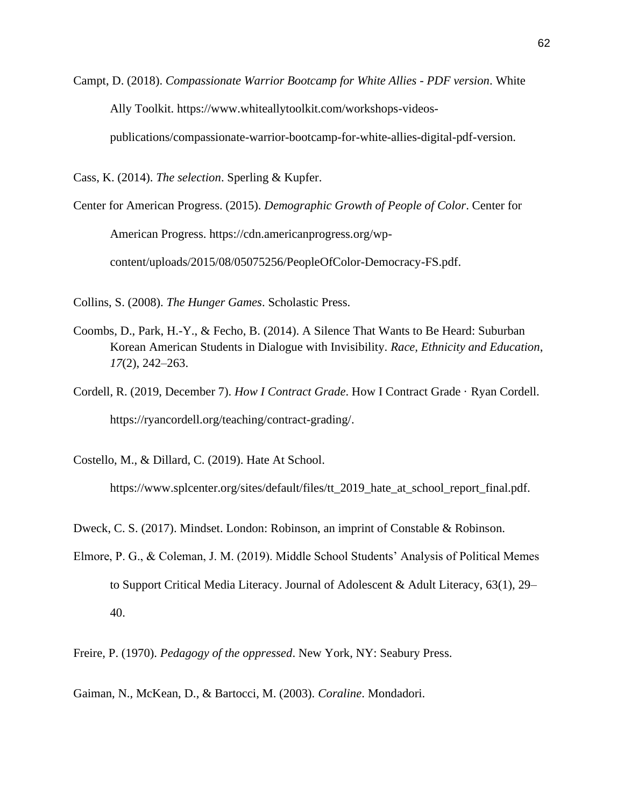Campt, D. (2018). *Compassionate Warrior Bootcamp for White Allies - PDF version*. White Ally Toolkit. https://www.whiteallytoolkit.com/workshops-videos-

publications/compassionate-warrior-bootcamp-for-white-allies-digital-pdf-version.

Cass, K. (2014). *The selection*. Sperling & Kupfer.

Center for American Progress. (2015). *Demographic Growth of People of Color*. Center for American Progress. https://cdn.americanprogress.org/wpcontent/uploads/2015/08/05075256/PeopleOfColor-Democracy-FS.pdf.

Collins, S. (2008). *The Hunger Games*. Scholastic Press.

- Coombs, D., Park, H.-Y., & Fecho, B. (2014). A Silence That Wants to Be Heard: Suburban Korean American Students in Dialogue with Invisibility. *Race, Ethnicity and Education*, *17*(2), 242–263.
- Cordell, R. (2019, December 7). *How I Contract Grade*. How I Contract Grade · Ryan Cordell. https://ryancordell.org/teaching/contract-grading/.

Costello, M., & Dillard, C. (2019). Hate At School.

https://www.splcenter.org/sites/default/files/tt\_2019\_hate\_at\_school\_report\_final.pdf.

Dweck, C. S. (2017). Mindset. London: Robinson, an imprint of Constable & Robinson.

Elmore, P. G., & Coleman, J. M. (2019). Middle School Students' Analysis of Political Memes to Support Critical Media Literacy. Journal of Adolescent & Adult Literacy, 63(1), 29– 40.

Freire, P. (1970). *Pedagogy of the oppressed*. New York, NY: Seabury Press.

Gaiman, N., McKean, D., & Bartocci, M. (2003). *Coraline*. Mondadori.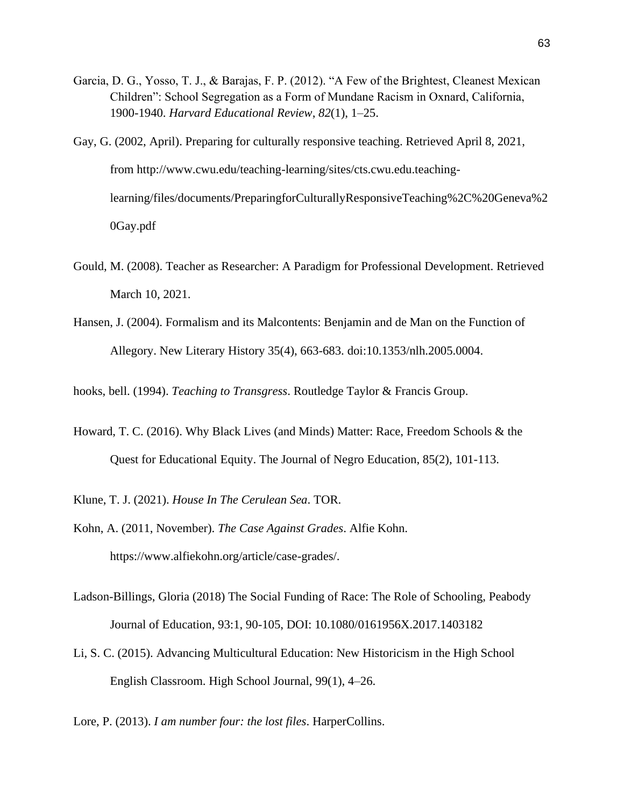- Garcia, D. G., Yosso, T. J., & Barajas, F. P. (2012). "A Few of the Brightest, Cleanest Mexican Children": School Segregation as a Form of Mundane Racism in Oxnard, California, 1900-1940. *Harvard Educational Review*, *82*(1), 1–25.
- Gay, G. (2002, April). Preparing for culturally responsive teaching. Retrieved April 8, 2021, from http://www.cwu.edu/teaching-learning/sites/cts.cwu.edu.teachinglearning/files/documents/PreparingforCulturallyResponsiveTeaching%2C%20Geneva%2 0Gay.pdf
- Gould, M. (2008). Teacher as Researcher: A Paradigm for Professional Development. Retrieved March 10, 2021.
- Hansen, J. (2004). Formalism and its Malcontents: Benjamin and de Man on the Function of Allegory. New Literary History 35(4), 663-683. doi:10.1353/nlh.2005.0004.

hooks, bell. (1994). *Teaching to Transgress*. Routledge Taylor & Francis Group.

- Howard, T. C. (2016). Why Black Lives (and Minds) Matter: Race, Freedom Schools & the Quest for Educational Equity. The Journal of Negro Education, 85(2), 101-113.
- Klune, T. J. (2021). *House In The Cerulean Sea*. TOR.
- Kohn, A. (2011, November). *The Case Against Grades*. Alfie Kohn. https://www.alfiekohn.org/article/case-grades/.
- Ladson-Billings, Gloria (2018) The Social Funding of Race: The Role of Schooling, Peabody Journal of Education, 93:1, 90-105, DOI: 10.1080/0161956X.2017.1403182
- Li, S. C. (2015). Advancing Multicultural Education: New Historicism in the High School English Classroom. High School Journal, 99(1), 4–26.

Lore, P. (2013). *I am number four: the lost files*. HarperCollins.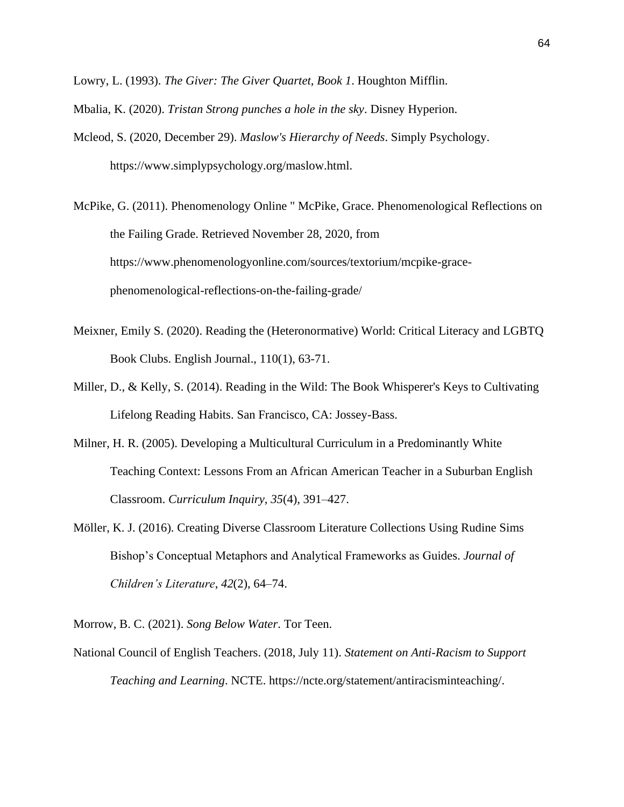Lowry, L. (1993). *The Giver: The Giver Quartet, Book 1*. Houghton Mifflin.

Mbalia, K. (2020). *Tristan Strong punches a hole in the sky*. Disney Hyperion.

Mcleod, S. (2020, December 29). *Maslow's Hierarchy of Needs*. Simply Psychology. https://www.simplypsychology.org/maslow.html.

McPike, G. (2011). Phenomenology Online " McPike, Grace. Phenomenological Reflections on the Failing Grade. Retrieved November 28, 2020, from https://www.phenomenologyonline.com/sources/textorium/mcpike-gracephenomenological-reflections-on-the-failing-grade/

- Meixner, Emily S. (2020). Reading the (Heteronormative) World: Critical Literacy and LGBTQ Book Clubs. English Journal., 110(1), 63-71.
- Miller, D., & Kelly, S. (2014). Reading in the Wild: The Book Whisperer's Keys to Cultivating Lifelong Reading Habits. San Francisco, CA: Jossey-Bass.
- Milner, H. R. (2005). Developing a Multicultural Curriculum in a Predominantly White Teaching Context: Lessons From an African American Teacher in a Suburban English Classroom. *Curriculum Inquiry*, *35*(4), 391–427.
- Möller, K. J. (2016). Creating Diverse Classroom Literature Collections Using Rudine Sims Bishop's Conceptual Metaphors and Analytical Frameworks as Guides. *Journal of Children's Literature*, *42*(2), 64–74.

Morrow, B. C. (2021). *Song Below Water*. Tor Teen.

National Council of English Teachers. (2018, July 11). *Statement on Anti-Racism to Support Teaching and Learning*. NCTE. https://ncte.org/statement/antiracisminteaching/.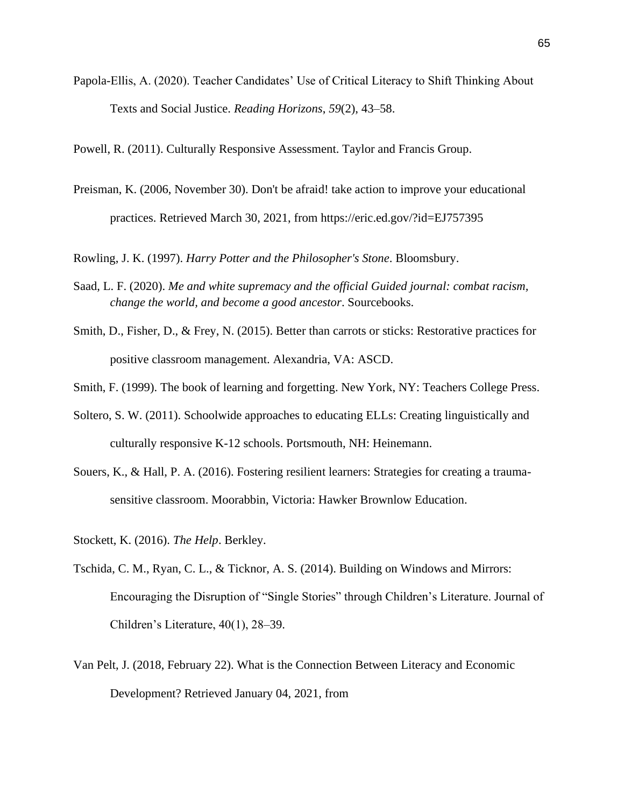Papola-Ellis, A. (2020). Teacher Candidates' Use of Critical Literacy to Shift Thinking About Texts and Social Justice. *Reading Horizons*, *59*(2), 43–58.

Powell, R. (2011). Culturally Responsive Assessment. Taylor and Francis Group.

Preisman, K. (2006, November 30). Don't be afraid! take action to improve your educational practices. Retrieved March 30, 2021, from https://eric.ed.gov/?id=EJ757395

Rowling, J. K. (1997). *Harry Potter and the Philosopher's Stone*. Bloomsbury.

- Saad, L. F. (2020). *Me and white supremacy and the official Guided journal: combat racism, change the world, and become a good ancestor*. Sourcebooks.
- Smith, D., Fisher, D., & Frey, N. (2015). Better than carrots or sticks: Restorative practices for positive classroom management. Alexandria, VA: ASCD.
- Smith, F. (1999). The book of learning and forgetting. New York, NY: Teachers College Press.
- Soltero, S. W. (2011). Schoolwide approaches to educating ELLs: Creating linguistically and culturally responsive K-12 schools. Portsmouth, NH: Heinemann.
- Souers, K., & Hall, P. A. (2016). Fostering resilient learners: Strategies for creating a traumasensitive classroom. Moorabbin, Victoria: Hawker Brownlow Education.
- Stockett, K. (2016). *The Help*. Berkley.
- Tschida, C. M., Ryan, C. L., & Ticknor, A. S. (2014). Building on Windows and Mirrors: Encouraging the Disruption of "Single Stories" through Children's Literature. Journal of Children's Literature, 40(1), 28–39.
- Van Pelt, J. (2018, February 22). What is the Connection Between Literacy and Economic Development? Retrieved January 04, 2021, from